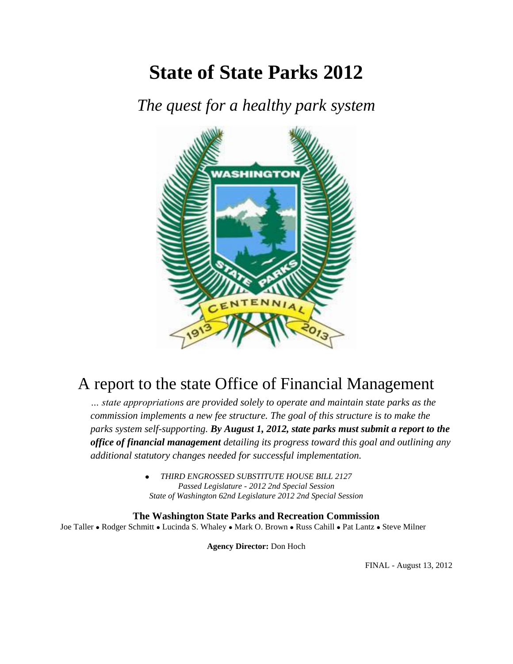# **State of State Parks 2012**

*The quest for a healthy park system*



# A report to the state Office of Financial Management

*… state appropriations are provided solely to operate and maintain state parks as the commission implements a new fee structure. The goal of this structure is to make the parks system self-supporting. By August 1, 2012, state parks must submit a report to the office of financial management detailing its progress toward this goal and outlining any additional statutory changes needed for successful implementation.*

> *THIRD ENGROSSED SUBSTITUTE HOUSE BILL 2127 Passed Legislature - 2012 2nd Special Session State of Washington 62nd Legislature 2012 2nd Special Session*

**The Washington State Parks and Recreation Commission** Joe Taller • Rodger Schmitt • Lucinda S. Whaley • Mark O. Brown • Russ Cahill • Pat Lantz • Steve Milner

**Agency Director:** Don Hoch

FINAL - August 13, 2012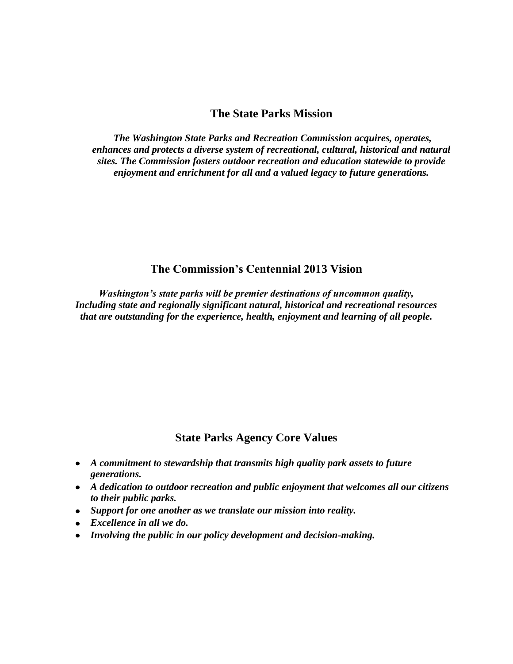#### **The State Parks Mission**

*The Washington State Parks and Recreation Commission acquires, operates, enhances and protects a diverse system of recreational, cultural, historical and natural sites. The Commission fosters outdoor recreation and education statewide to provide enjoyment and enrichment for all and a valued legacy to future generations.*

### **The Commission's Centennial 2013 Vision**

*Washington's state parks will be premier destinations of uncommon quality, Including state and regionally significant natural, historical and recreational resources that are outstanding for the experience, health, enjoyment and learning of all people.*

### **State Parks Agency Core Values**

- *A commitment to stewardship that transmits high quality park assets to future generations.*
- *A dedication to outdoor recreation and public enjoyment that welcomes all our citizens to their public parks.*
- *Support for one another as we translate our mission into reality.*
- *Excellence in all we do.*
- *Involving the public in our policy development and decision-making.*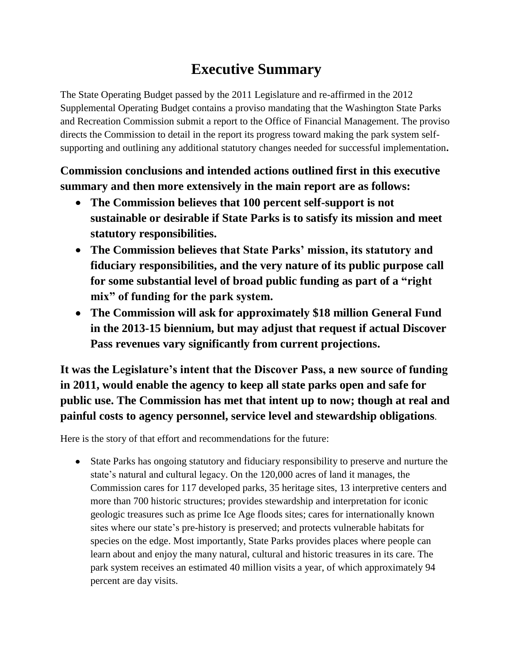# **Executive Summary**

The State Operating Budget passed by the 2011 Legislature and re-affirmed in the 2012 Supplemental Operating Budget contains a proviso mandating that the Washington State Parks and Recreation Commission submit a report to the Office of Financial Management. The proviso directs the Commission to detail in the report its progress toward making the park system selfsupporting and outlining any additional statutory changes needed for successful implementation**.** 

# **Commission conclusions and intended actions outlined first in this executive summary and then more extensively in the main report are as follows:**

- **The Commission believes that 100 percent self-support is not sustainable or desirable if State Parks is to satisfy its mission and meet statutory responsibilities.**
- **The Commission believes that State Parks' mission, its statutory and fiduciary responsibilities, and the very nature of its public purpose call for some substantial level of broad public funding as part of a "right mix" of funding for the park system.**
- **The Commission will ask for approximately \$18 million General Fund in the 2013-15 biennium, but may adjust that request if actual Discover Pass revenues vary significantly from current projections.**

**It was the Legislature's intent that the Discover Pass, a new source of funding in 2011, would enable the agency to keep all state parks open and safe for public use. The Commission has met that intent up to now; though at real and painful costs to agency personnel, service level and stewardship obligations**.

Here is the story of that effort and recommendations for the future:

State Parks has ongoing statutory and fiduciary responsibility to preserve and nurture the state's natural and cultural legacy. On the 120,000 acres of land it manages, the Commission cares for 117 developed parks, 35 heritage sites, 13 interpretive centers and more than 700 historic structures; provides stewardship and interpretation for iconic geologic treasures such as prime Ice Age floods sites; cares for internationally known sites where our state's pre-history is preserved; and protects vulnerable habitats for species on the edge. Most importantly, State Parks provides places where people can learn about and enjoy the many natural, cultural and historic treasures in its care. The park system receives an estimated 40 million visits a year, of which approximately 94 percent are day visits.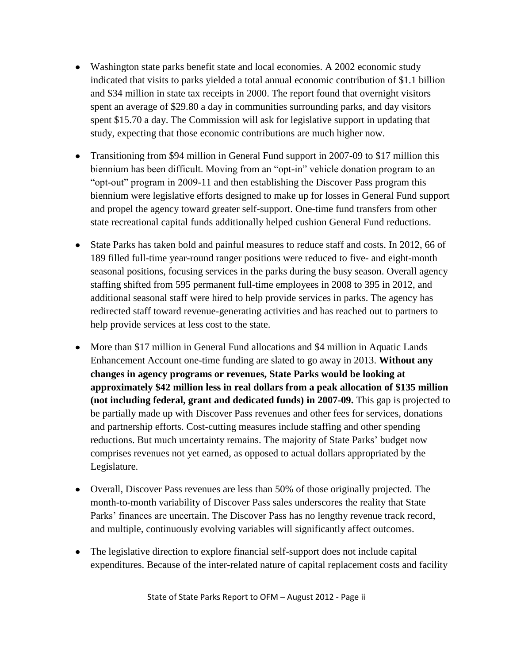- Washington state parks benefit state and local economies. A 2002 economic study indicated that visits to parks yielded a total annual economic contribution of \$1.1 billion and \$34 million in state tax receipts in 2000. The report found that overnight visitors spent an average of \$29.80 a day in communities surrounding parks, and day visitors spent \$15.70 a day. The Commission will ask for legislative support in updating that study, expecting that those economic contributions are much higher now.
- Transitioning from \$94 million in General Fund support in 2007-09 to \$17 million this biennium has been difficult. Moving from an "opt-in" vehicle donation program to an "opt-out" program in 2009-11 and then establishing the Discover Pass program this biennium were legislative efforts designed to make up for losses in General Fund support and propel the agency toward greater self-support. One-time fund transfers from other state recreational capital funds additionally helped cushion General Fund reductions.
- State Parks has taken bold and painful measures to reduce staff and costs. In 2012, 66 of 189 filled full-time year-round ranger positions were reduced to five- and eight-month seasonal positions, focusing services in the parks during the busy season. Overall agency staffing shifted from 595 permanent full-time employees in 2008 to 395 in 2012, and additional seasonal staff were hired to help provide services in parks. The agency has redirected staff toward revenue-generating activities and has reached out to partners to help provide services at less cost to the state.
- More than \$17 million in General Fund allocations and \$4 million in Aquatic Lands Enhancement Account one-time funding are slated to go away in 2013. **Without any changes in agency programs or revenues, State Parks would be looking at approximately \$42 million less in real dollars from a peak allocation of \$135 million (not including federal, grant and dedicated funds) in 2007-09.** This gap is projected to be partially made up with Discover Pass revenues and other fees for services, donations and partnership efforts. Cost-cutting measures include staffing and other spending reductions. But much uncertainty remains. The majority of State Parks' budget now comprises revenues not yet earned, as opposed to actual dollars appropriated by the Legislature.
- Overall, Discover Pass revenues are less than 50% of those originally projected. The month-to-month variability of Discover Pass sales underscores the reality that State Parks' finances are uncertain. The Discover Pass has no lengthy revenue track record, and multiple, continuously evolving variables will significantly affect outcomes.
- The legislative direction to explore financial self-support does not include capital expenditures. Because of the inter-related nature of capital replacement costs and facility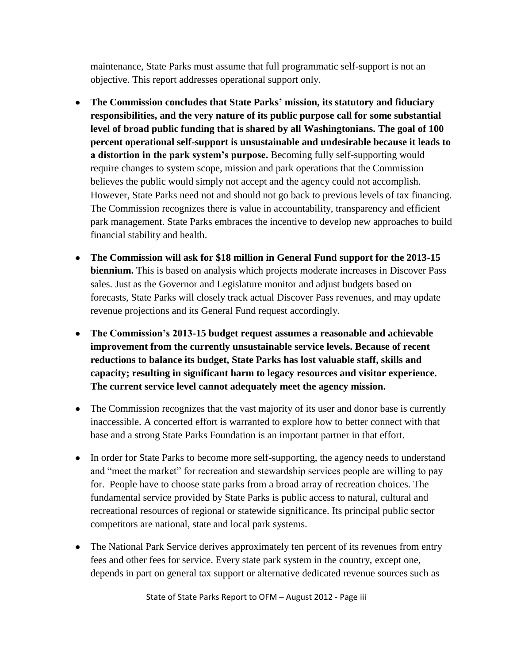maintenance, State Parks must assume that full programmatic self-support is not an objective. This report addresses operational support only.

- **The Commission concludes that State Parks' mission, its statutory and fiduciary responsibilities, and the very nature of its public purpose call for some substantial level of broad public funding that is shared by all Washingtonians. The goal of 100 percent operational self-support is unsustainable and undesirable because it leads to a distortion in the park system's purpose.** Becoming fully self-supporting would require changes to system scope, mission and park operations that the Commission believes the public would simply not accept and the agency could not accomplish. However, State Parks need not and should not go back to previous levels of tax financing. The Commission recognizes there is value in accountability, transparency and efficient park management. State Parks embraces the incentive to develop new approaches to build financial stability and health.
- **The Commission will ask for \$18 million in General Fund support for the 2013-15 biennium.** This is based on analysis which projects moderate increases in Discover Pass sales. Just as the Governor and Legislature monitor and adjust budgets based on forecasts, State Parks will closely track actual Discover Pass revenues, and may update revenue projections and its General Fund request accordingly.
- **The Commission's 2013-15 budget request assumes a reasonable and achievable improvement from the currently unsustainable service levels. Because of recent reductions to balance its budget, State Parks has lost valuable staff, skills and capacity; resulting in significant harm to legacy resources and visitor experience. The current service level cannot adequately meet the agency mission.**
- The Commission recognizes that the vast majority of its user and donor base is currently inaccessible. A concerted effort is warranted to explore how to better connect with that base and a strong State Parks Foundation is an important partner in that effort.
- In order for State Parks to become more self-supporting, the agency needs to understand and "meet the market" for recreation and stewardship services people are willing to pay for. People have to choose state parks from a broad array of recreation choices. The fundamental service provided by State Parks is public access to natural, cultural and recreational resources of regional or statewide significance. Its principal public sector competitors are national, state and local park systems.
- The National Park Service derives approximately ten percent of its revenues from entry fees and other fees for service. Every state park system in the country, except one, depends in part on general tax support or alternative dedicated revenue sources such as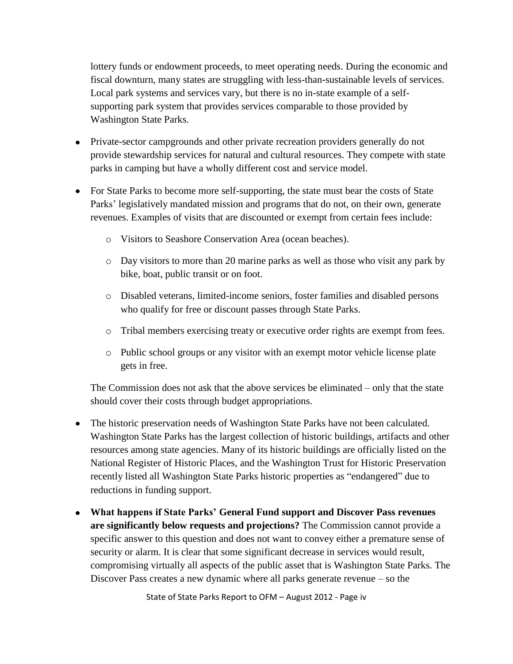lottery funds or endowment proceeds, to meet operating needs. During the economic and fiscal downturn, many states are struggling with less-than-sustainable levels of services. Local park systems and services vary, but there is no in-state example of a selfsupporting park system that provides services comparable to those provided by Washington State Parks.

- Private-sector campgrounds and other private recreation providers generally do not provide stewardship services for natural and cultural resources. They compete with state parks in camping but have a wholly different cost and service model.
- For State Parks to become more self-supporting, the state must bear the costs of State Parks' legislatively mandated mission and programs that do not, on their own, generate revenues. Examples of visits that are discounted or exempt from certain fees include:
	- o Visitors to Seashore Conservation Area (ocean beaches).
	- o Day visitors to more than 20 marine parks as well as those who visit any park by bike, boat, public transit or on foot.
	- o Disabled veterans, limited-income seniors, foster families and disabled persons who qualify for free or discount passes through State Parks.
	- o Tribal members exercising treaty or executive order rights are exempt from fees.
	- o Public school groups or any visitor with an exempt motor vehicle license plate gets in free.

The Commission does not ask that the above services be eliminated – only that the state should cover their costs through budget appropriations.

- The historic preservation needs of Washington State Parks have not been calculated. Washington State Parks has the largest collection of historic buildings, artifacts and other resources among state agencies. Many of its historic buildings are officially listed on the National Register of Historic Places, and the Washington Trust for Historic Preservation recently listed all Washington State Parks historic properties as "endangered" due to reductions in funding support.
- **What happens if State Parks' General Fund support and Discover Pass revenues are significantly below requests and projections?** The Commission cannot provide a specific answer to this question and does not want to convey either a premature sense of security or alarm. It is clear that some significant decrease in services would result, compromising virtually all aspects of the public asset that is Washington State Parks. The Discover Pass creates a new dynamic where all parks generate revenue – so the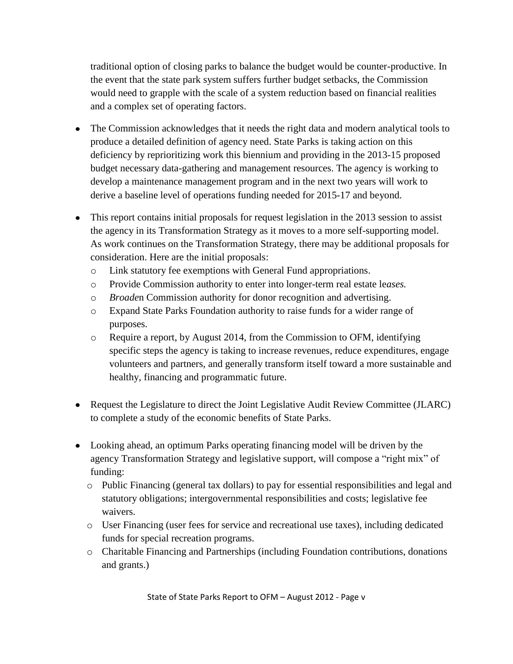traditional option of closing parks to balance the budget would be counter-productive. In the event that the state park system suffers further budget setbacks, the Commission would need to grapple with the scale of a system reduction based on financial realities and a complex set of operating factors.

- The Commission acknowledges that it needs the right data and modern analytical tools to produce a detailed definition of agency need. State Parks is taking action on this deficiency by reprioritizing work this biennium and providing in the 2013-15 proposed budget necessary data-gathering and management resources. The agency is working to develop a maintenance management program and in the next two years will work to derive a baseline level of operations funding needed for 2015-17 and beyond.
- This report contains initial proposals for request legislation in the 2013 session to assist the agency in its Transformation Strategy as it moves to a more self-supporting model. As work continues on the Transformation Strategy, there may be additional proposals for consideration. Here are the initial proposals:
	- o Link statutory fee exemptions with General Fund appropriations.
	- o Provide Commission authority to enter into longer-term real estate le*ases.*
	- o *Broade*n Commission authority for donor recognition and advertising.
	- o Expand State Parks Foundation authority to raise funds for a wider range of purposes.
	- o Require a report, by August 2014, from the Commission to OFM, identifying specific steps the agency is taking to increase revenues, reduce expenditures, engage volunteers and partners, and generally transform itself toward a more sustainable and healthy, financing and programmatic future.
- Request the Legislature to direct the Joint Legislative Audit Review Committee (JLARC) to complete a study of the economic benefits of State Parks.
- Looking ahead, an optimum Parks operating financing model will be driven by the agency Transformation Strategy and legislative support, will compose a "right mix" of funding:
	- o Public Financing (general tax dollars) to pay for essential responsibilities and legal and statutory obligations; intergovernmental responsibilities and costs; legislative fee waivers.
	- o User Financing (user fees for service and recreational use taxes), including dedicated funds for special recreation programs.
	- o Charitable Financing and Partnerships (including Foundation contributions, donations and grants.)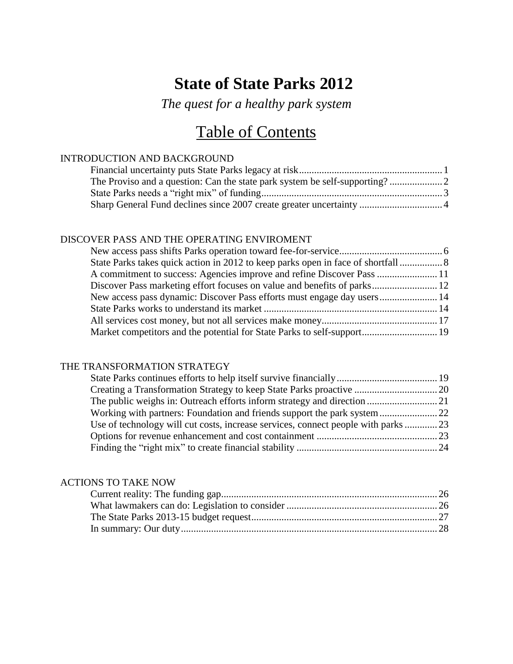# **State of State Parks 2012**

*The quest for a healthy park system*

# Table of Contents

#### INTRODUCTION AND BACKGROUND

#### DISCOVER PASS AND THE OPERATING ENVIROMENT

| A commitment to success: Agencies improve and refine Discover Pass  11  |  |
|-------------------------------------------------------------------------|--|
|                                                                         |  |
| New access pass dynamic: Discover Pass efforts must engage day users 14 |  |
|                                                                         |  |
|                                                                         |  |
|                                                                         |  |
|                                                                         |  |

#### THE TRANSFORMATION STRATEGY

| Use of technology will cut costs, increase services, connect people with parks 23 |  |
|-----------------------------------------------------------------------------------|--|
|                                                                                   |  |
|                                                                                   |  |
|                                                                                   |  |

#### ACTIONS TO TAKE NOW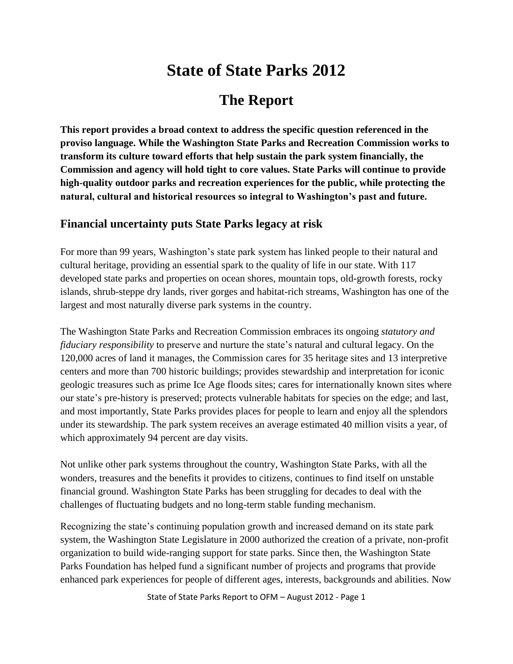# **State of State Parks 2012**

# **The Report**

**This report provides a broad context to address the specific question referenced in the proviso language. While the Washington State Parks and Recreation Commission works to transform its culture toward efforts that help sustain the park system financially, the Commission and agency will hold tight to core values. State Parks will continue to provide high-quality outdoor parks and recreation experiences for the public, while protecting the natural, cultural and historical resources so integral to Washington's past and future.**

## **Financial uncertainty puts State Parks legacy at risk**

For more than 99 years, Washington's state park system has linked people to their natural and cultural heritage, providing an essential spark to the quality of life in our state. With 117 developed state parks and properties on ocean shores, mountain tops, old-growth forests, rocky islands, shrub-steppe dry lands, river gorges and habitat-rich streams, Washington has one of the largest and most naturally diverse park systems in the country.

The Washington State Parks and Recreation Commission embraces its ongoing *statutory and fiduciary responsibility* to preserve and nurture the state's natural and cultural legacy. On the 120,000 acres of land it manages, the Commission cares for 35 heritage sites and 13 interpretive centers and more than 700 historic buildings; provides stewardship and interpretation for iconic geologic treasures such as prime Ice Age floods sites; cares for internationally known sites where our state's pre-history is preserved; protects vulnerable habitats for species on the edge; and last, and most importantly, State Parks provides places for people to learn and enjoy all the splendors under its stewardship. The park system receives an average estimated 40 million visits a year, of which approximately 94 percent are day visits.

Not unlike other park systems throughout the country, Washington State Parks, with all the wonders, treasures and the benefits it provides to citizens, continues to find itself on unstable financial ground. Washington State Parks has been struggling for decades to deal with the challenges of fluctuating budgets and no long-term stable funding mechanism.

Recognizing the state's continuing population growth and increased demand on its state park system, the Washington State Legislature in 2000 authorized the creation of a private, non-profit organization to build wide-ranging support for state parks. Since then, the Washington State Parks Foundation has helped fund a significant number of projects and programs that provide enhanced park experiences for people of different ages, interests, backgrounds and abilities. Now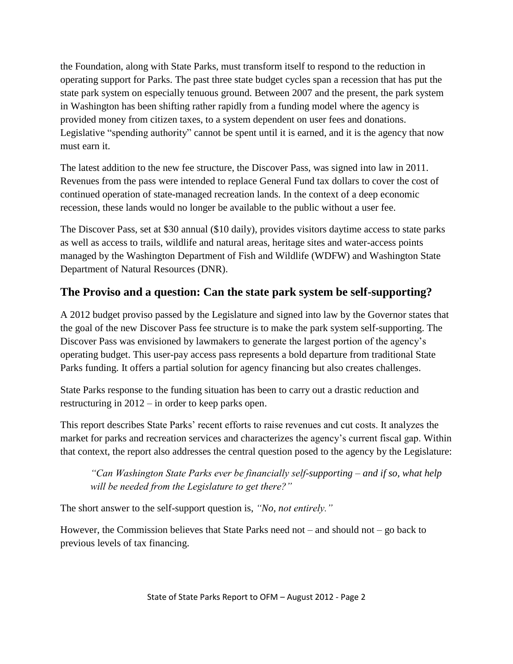the Foundation, along with State Parks, must transform itself to respond to the reduction in operating support for Parks. The past three state budget cycles span a recession that has put the state park system on especially tenuous ground. Between 2007 and the present, the park system in Washington has been shifting rather rapidly from a funding model where the agency is provided money from citizen taxes, to a system dependent on user fees and donations. Legislative "spending authority" cannot be spent until it is earned, and it is the agency that now must earn it.

The latest addition to the new fee structure, the Discover Pass, was signed into law in 2011. Revenues from the pass were intended to replace General Fund tax dollars to cover the cost of continued operation of state-managed recreation lands. In the context of a deep economic recession, these lands would no longer be available to the public without a user fee.

The Discover Pass, set at \$30 annual (\$10 daily), provides visitors daytime access to state parks as well as access to trails, wildlife and natural areas, heritage sites and water-access points managed by the Washington Department of Fish and Wildlife (WDFW) and Washington State Department of Natural Resources (DNR).

# **The Proviso and a question: Can the state park system be self-supporting?**

A 2012 budget proviso passed by the Legislature and signed into law by the Governor states that the goal of the new Discover Pass fee structure is to make the park system self-supporting. The Discover Pass was envisioned by lawmakers to generate the largest portion of the agency's operating budget. This user-pay access pass represents a bold departure from traditional State Parks funding. It offers a partial solution for agency financing but also creates challenges.

State Parks response to the funding situation has been to carry out a drastic reduction and restructuring in 2012 – in order to keep parks open.

This report describes State Parks' recent efforts to raise revenues and cut costs. It analyzes the market for parks and recreation services and characterizes the agency's current fiscal gap. Within that context, the report also addresses the central question posed to the agency by the Legislature:

*"Can Washington State Parks ever be financially self-supporting – and if so, what help will be needed from the Legislature to get there?"*

The short answer to the self-support question is, *"No, not entirely."*

However, the Commission believes that State Parks need not – and should not – go back to previous levels of tax financing.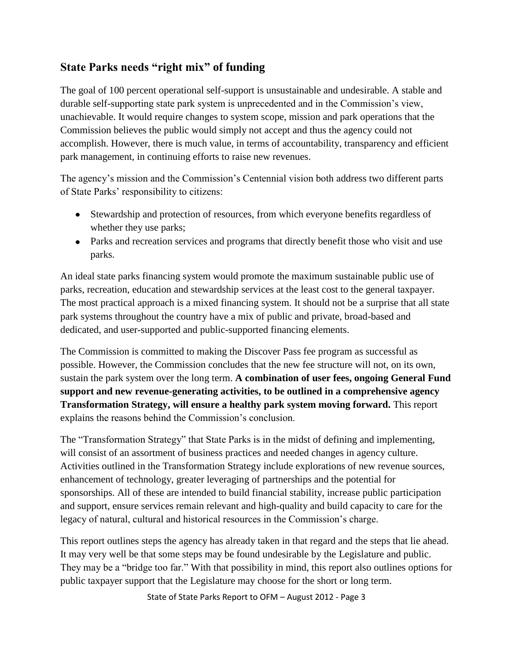## **State Parks needs "right mix" of funding**

The goal of 100 percent operational self-support is unsustainable and undesirable. A stable and durable self-supporting state park system is unprecedented and in the Commission's view, unachievable. It would require changes to system scope, mission and park operations that the Commission believes the public would simply not accept and thus the agency could not accomplish. However, there is much value, in terms of accountability, transparency and efficient park management, in continuing efforts to raise new revenues.

The agency's mission and the Commission's Centennial vision both address two different parts of State Parks' responsibility to citizens:

- Stewardship and protection of resources, from which everyone benefits regardless of whether they use parks;
- Parks and recreation services and programs that directly benefit those who visit and use parks.

An ideal state parks financing system would promote the maximum sustainable public use of parks, recreation, education and stewardship services at the least cost to the general taxpayer. The most practical approach is a mixed financing system. It should not be a surprise that all state park systems throughout the country have a mix of public and private, broad-based and dedicated, and user-supported and public-supported financing elements.

The Commission is committed to making the Discover Pass fee program as successful as possible. However, the Commission concludes that the new fee structure will not, on its own, sustain the park system over the long term. **A combination of user fees, ongoing General Fund support and new revenue-generating activities, to be outlined in a comprehensive agency Transformation Strategy, will ensure a healthy park system moving forward.** This report explains the reasons behind the Commission's conclusion.

The "Transformation Strategy" that State Parks is in the midst of defining and implementing, will consist of an assortment of business practices and needed changes in agency culture. Activities outlined in the Transformation Strategy include explorations of new revenue sources, enhancement of technology, greater leveraging of partnerships and the potential for sponsorships. All of these are intended to build financial stability, increase public participation and support, ensure services remain relevant and high-quality and build capacity to care for the legacy of natural, cultural and historical resources in the Commission's charge.

This report outlines steps the agency has already taken in that regard and the steps that lie ahead. It may very well be that some steps may be found undesirable by the Legislature and public. They may be a "bridge too far." With that possibility in mind, this report also outlines options for public taxpayer support that the Legislature may choose for the short or long term.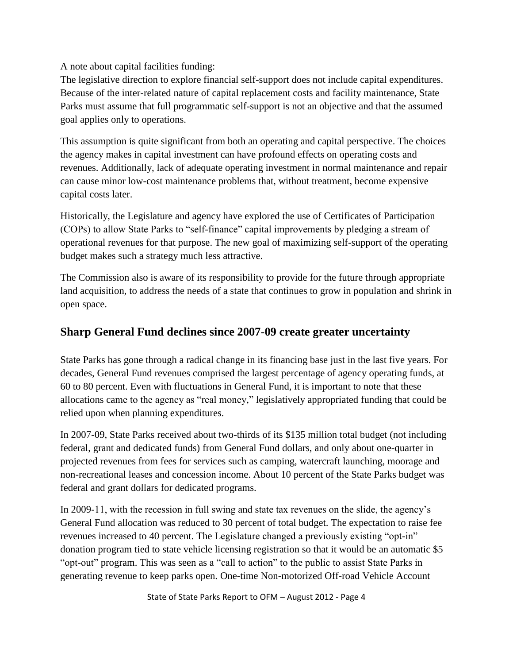### A note about capital facilities funding:

The legislative direction to explore financial self-support does not include capital expenditures. Because of the inter-related nature of capital replacement costs and facility maintenance, State Parks must assume that full programmatic self-support is not an objective and that the assumed goal applies only to operations.

This assumption is quite significant from both an operating and capital perspective. The choices the agency makes in capital investment can have profound effects on operating costs and revenues. Additionally, lack of adequate operating investment in normal maintenance and repair can cause minor low-cost maintenance problems that, without treatment, become expensive capital costs later.

Historically, the Legislature and agency have explored the use of Certificates of Participation (COPs) to allow State Parks to "self-finance" capital improvements by pledging a stream of operational revenues for that purpose. The new goal of maximizing self-support of the operating budget makes such a strategy much less attractive.

The Commission also is aware of its responsibility to provide for the future through appropriate land acquisition, to address the needs of a state that continues to grow in population and shrink in open space.

## **Sharp General Fund declines since 2007-09 create greater uncertainty**

State Parks has gone through a radical change in its financing base just in the last five years. For decades, General Fund revenues comprised the largest percentage of agency operating funds, at 60 to 80 percent. Even with fluctuations in General Fund, it is important to note that these allocations came to the agency as "real money," legislatively appropriated funding that could be relied upon when planning expenditures.

In 2007-09, State Parks received about two-thirds of its \$135 million total budget (not including federal, grant and dedicated funds) from General Fund dollars, and only about one-quarter in projected revenues from fees for services such as camping, watercraft launching, moorage and non-recreational leases and concession income. About 10 percent of the State Parks budget was federal and grant dollars for dedicated programs.

In 2009-11, with the recession in full swing and state tax revenues on the slide, the agency's General Fund allocation was reduced to 30 percent of total budget. The expectation to raise fee revenues increased to 40 percent. The Legislature changed a previously existing "opt-in" donation program tied to state vehicle licensing registration so that it would be an automatic \$5 "opt-out" program. This was seen as a "call to action" to the public to assist State Parks in generating revenue to keep parks open. One-time Non-motorized Off-road Vehicle Account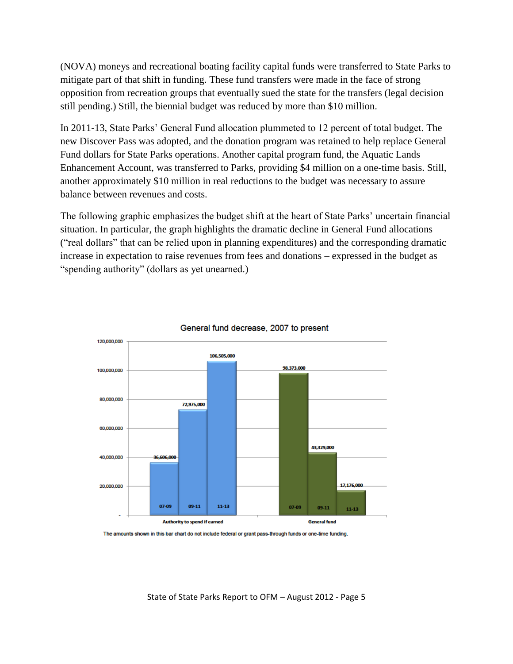(NOVA) moneys and recreational boating facility capital funds were transferred to State Parks to mitigate part of that shift in funding. These fund transfers were made in the face of strong opposition from recreation groups that eventually sued the state for the transfers (legal decision still pending.) Still, the biennial budget was reduced by more than \$10 million.

In 2011-13, State Parks' General Fund allocation plummeted to 12 percent of total budget. The new Discover Pass was adopted, and the donation program was retained to help replace General Fund dollars for State Parks operations. Another capital program fund, the Aquatic Lands Enhancement Account, was transferred to Parks, providing \$4 million on a one-time basis. Still, another approximately \$10 million in real reductions to the budget was necessary to assure balance between revenues and costs.

The following graphic emphasizes the budget shift at the heart of State Parks' uncertain financial situation. In particular, the graph highlights the dramatic decline in General Fund allocations ("real dollars" that can be relied upon in planning expenditures) and the corresponding dramatic increase in expectation to raise revenues from fees and donations – expressed in the budget as "spending authority" (dollars as yet unearned.)





The amounts shown in this bar chart do not include federal or grant pass-through funds or one-time funding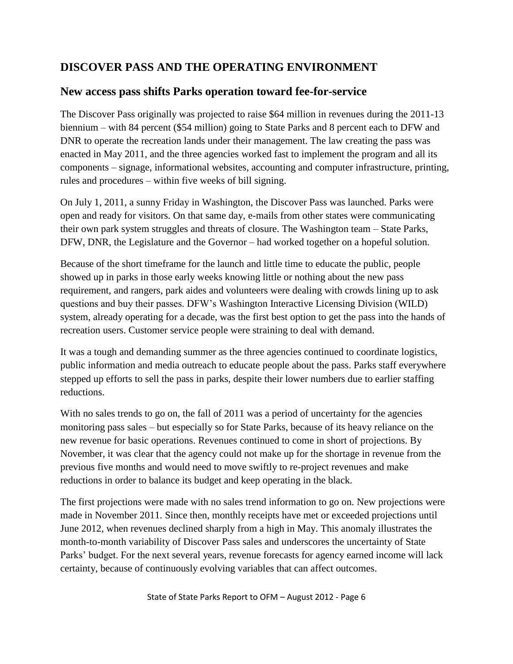## **DISCOVER PASS AND THE OPERATING ENVIRONMENT**

## **New access pass shifts Parks operation toward fee-for-service**

The Discover Pass originally was projected to raise \$64 million in revenues during the 2011-13 biennium – with 84 percent (\$54 million) going to State Parks and 8 percent each to DFW and DNR to operate the recreation lands under their management. The law creating the pass was enacted in May 2011, and the three agencies worked fast to implement the program and all its components – signage, informational websites, accounting and computer infrastructure, printing, rules and procedures – within five weeks of bill signing.

On July 1, 2011, a sunny Friday in Washington, the Discover Pass was launched. Parks were open and ready for visitors. On that same day, e-mails from other states were communicating their own park system struggles and threats of closure. The Washington team – State Parks, DFW, DNR, the Legislature and the Governor – had worked together on a hopeful solution.

Because of the short timeframe for the launch and little time to educate the public, people showed up in parks in those early weeks knowing little or nothing about the new pass requirement, and rangers, park aides and volunteers were dealing with crowds lining up to ask questions and buy their passes. DFW's Washington Interactive Licensing Division (WILD) system, already operating for a decade, was the first best option to get the pass into the hands of recreation users. Customer service people were straining to deal with demand.

It was a tough and demanding summer as the three agencies continued to coordinate logistics, public information and media outreach to educate people about the pass. Parks staff everywhere stepped up efforts to sell the pass in parks, despite their lower numbers due to earlier staffing reductions.

With no sales trends to go on, the fall of 2011 was a period of uncertainty for the agencies monitoring pass sales – but especially so for State Parks, because of its heavy reliance on the new revenue for basic operations. Revenues continued to come in short of projections. By November, it was clear that the agency could not make up for the shortage in revenue from the previous five months and would need to move swiftly to re-project revenues and make reductions in order to balance its budget and keep operating in the black.

The first projections were made with no sales trend information to go on. New projections were made in November 2011. Since then, monthly receipts have met or exceeded projections until June 2012, when revenues declined sharply from a high in May. This anomaly illustrates the month-to-month variability of Discover Pass sales and underscores the uncertainty of State Parks' budget. For the next several years, revenue forecasts for agency earned income will lack certainty, because of continuously evolving variables that can affect outcomes.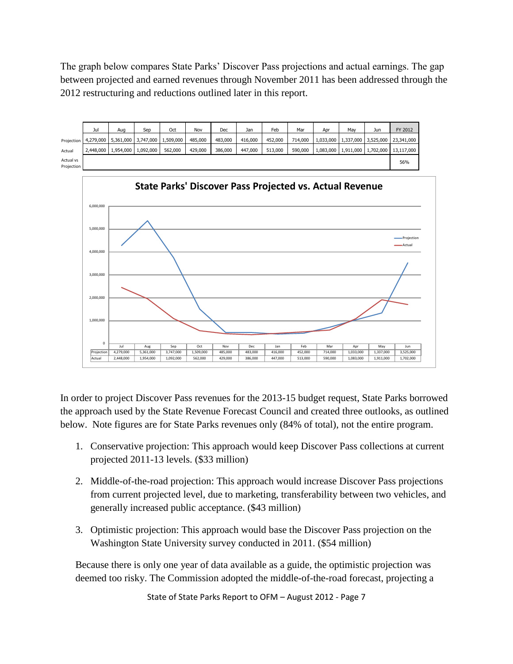The graph below compares State Parks' Discover Pass projections and actual earnings. The gap between projected and earned revenues through November 2011 has been addressed through the 2012 restructuring and reductions outlined later in this report.

|                         | Jul | Aua                   | Sep                                           | Oct     | Nov     | Dec     | Jan     | Feb     | Mar     | Apr | Mav                           | Jun | FY 2012                                        |
|-------------------------|-----|-----------------------|-----------------------------------------------|---------|---------|---------|---------|---------|---------|-----|-------------------------------|-----|------------------------------------------------|
| Projection              |     |                       | 4,279,000   5,361,000   3,747,000   1,509,000 |         | 485,000 | 483,000 | 416,000 | 452,000 | 714,000 |     |                               |     | 1,033,000   1,337,000   3,525,000   23,341,000 |
| Actual                  |     | 2,448,000   1,954,000 | 1,092,000                                     | 562,000 | 429,000 | 386,000 | 447,000 | 513,000 | 590,000 |     | 1,083,000 1,911,000 1,702,000 |     | 13,117,000                                     |
| Actual vs<br>Projection |     |                       |                                               |         |         |         |         |         |         |     |                               |     | 56%                                            |



In order to project Discover Pass revenues for the 2013-15 budget request, State Parks borrowed the approach used by the State Revenue Forecast Council and created three outlooks, as outlined below. Note figures are for State Parks revenues only (84% of total), not the entire program.

- 1. Conservative projection: This approach would keep Discover Pass collections at current projected 2011-13 levels. (\$33 million)
- 2. Middle-of-the-road projection: This approach would increase Discover Pass projections from current projected level, due to marketing, transferability between two vehicles, and generally increased public acceptance. (\$43 million)
- 3. Optimistic projection: This approach would base the Discover Pass projection on the Washington State University survey conducted in 2011. (\$54 million)

Because there is only one year of data available as a guide, the optimistic projection was deemed too risky. The Commission adopted the middle-of-the-road forecast, projecting a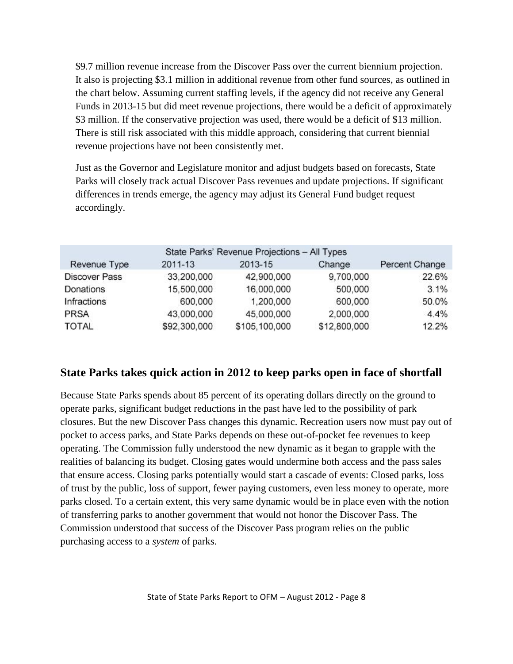\$9.7 million revenue increase from the Discover Pass over the current biennium projection. It also is projecting \$3.1 million in additional revenue from other fund sources, as outlined in the chart below. Assuming current staffing levels, if the agency did not receive any General Funds in 2013-15 but did meet revenue projections, there would be a deficit of approximately \$3 million. If the conservative projection was used, there would be a deficit of \$13 million. There is still risk associated with this middle approach, considering that current biennial revenue projections have not been consistently met.

Just as the Governor and Legislature monitor and adjust budgets based on forecasts, State Parks will closely track actual Discover Pass revenues and update projections. If significant differences in trends emerge, the agency may adjust its General Fund budget request accordingly.

|                      |              | State Parks' Revenue Projections - All Types |              |                |
|----------------------|--------------|----------------------------------------------|--------------|----------------|
| Revenue Type         | 2011-13      | 2013-15                                      | Change       | Percent Change |
| <b>Discover Pass</b> | 33,200,000   | 42,900,000                                   | 9,700,000    | 22.6%          |
| Donations            | 15,500,000   | 16,000,000                                   | 500,000      | 3.1%           |
| Infractions          | 600,000      | 1,200,000                                    | 600,000      | 50.0%          |
| <b>PRSA</b>          | 43,000,000   | 45,000,000                                   | 2,000,000    | 4.4%           |
| <b>TOTAL</b>         | \$92,300,000 | \$105,100,000                                | \$12,800,000 | 12.2%          |

## **State Parks takes quick action in 2012 to keep parks open in face of shortfall**

Because State Parks spends about 85 percent of its operating dollars directly on the ground to operate parks, significant budget reductions in the past have led to the possibility of park closures. But the new Discover Pass changes this dynamic. Recreation users now must pay out of pocket to access parks, and State Parks depends on these out-of-pocket fee revenues to keep operating. The Commission fully understood the new dynamic as it began to grapple with the realities of balancing its budget. Closing gates would undermine both access and the pass sales that ensure access. Closing parks potentially would start a cascade of events: Closed parks, loss of trust by the public, loss of support, fewer paying customers, even less money to operate, more parks closed. To a certain extent, this very same dynamic would be in place even with the notion of transferring parks to another government that would not honor the Discover Pass. The Commission understood that success of the Discover Pass program relies on the public purchasing access to a *system* of parks.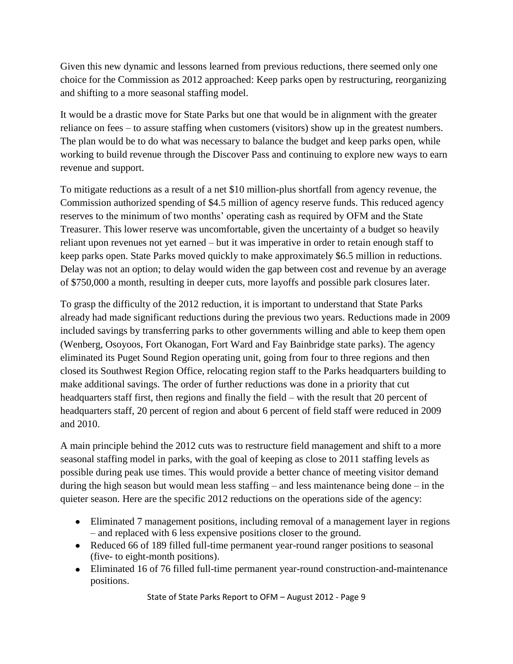Given this new dynamic and lessons learned from previous reductions, there seemed only one choice for the Commission as 2012 approached: Keep parks open by restructuring, reorganizing and shifting to a more seasonal staffing model.

It would be a drastic move for State Parks but one that would be in alignment with the greater reliance on fees – to assure staffing when customers (visitors) show up in the greatest numbers. The plan would be to do what was necessary to balance the budget and keep parks open, while working to build revenue through the Discover Pass and continuing to explore new ways to earn revenue and support.

To mitigate reductions as a result of a net \$10 million-plus shortfall from agency revenue, the Commission authorized spending of \$4.5 million of agency reserve funds. This reduced agency reserves to the minimum of two months' operating cash as required by OFM and the State Treasurer. This lower reserve was uncomfortable, given the uncertainty of a budget so heavily reliant upon revenues not yet earned – but it was imperative in order to retain enough staff to keep parks open. State Parks moved quickly to make approximately \$6.5 million in reductions. Delay was not an option; to delay would widen the gap between cost and revenue by an average of \$750,000 a month, resulting in deeper cuts, more layoffs and possible park closures later.

To grasp the difficulty of the 2012 reduction, it is important to understand that State Parks already had made significant reductions during the previous two years. Reductions made in 2009 included savings by transferring parks to other governments willing and able to keep them open (Wenberg, Osoyoos, Fort Okanogan, Fort Ward and Fay Bainbridge state parks). The agency eliminated its Puget Sound Region operating unit, going from four to three regions and then closed its Southwest Region Office, relocating region staff to the Parks headquarters building to make additional savings. The order of further reductions was done in a priority that cut headquarters staff first, then regions and finally the field – with the result that 20 percent of headquarters staff, 20 percent of region and about 6 percent of field staff were reduced in 2009 and 2010.

A main principle behind the 2012 cuts was to restructure field management and shift to a more seasonal staffing model in parks, with the goal of keeping as close to 2011 staffing levels as possible during peak use times. This would provide a better chance of meeting visitor demand during the high season but would mean less staffing – and less maintenance being done – in the quieter season. Here are the specific 2012 reductions on the operations side of the agency:

- Eliminated 7 management positions, including removal of a management layer in regions – and replaced with 6 less expensive positions closer to the ground.
- Reduced 66 of 189 filled full-time permanent year-round ranger positions to seasonal (five- to eight-month positions).
- Eliminated 16 of 76 filled full-time permanent year-round construction-and-maintenance positions.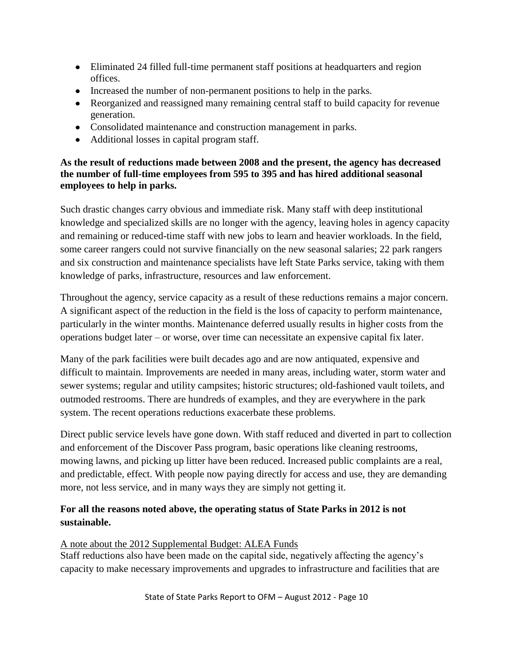- Eliminated 24 filled full-time permanent staff positions at headquarters and region offices.
- Increased the number of non-permanent positions to help in the parks.
- Reorganized and reassigned many remaining central staff to build capacity for revenue generation.
- Consolidated maintenance and construction management in parks.
- Additional losses in capital program staff.

### **As the result of reductions made between 2008 and the present, the agency has decreased the number of full-time employees from 595 to 395 and has hired additional seasonal employees to help in parks.**

Such drastic changes carry obvious and immediate risk. Many staff with deep institutional knowledge and specialized skills are no longer with the agency, leaving holes in agency capacity and remaining or reduced-time staff with new jobs to learn and heavier workloads. In the field, some career rangers could not survive financially on the new seasonal salaries; 22 park rangers and six construction and maintenance specialists have left State Parks service, taking with them knowledge of parks, infrastructure, resources and law enforcement.

Throughout the agency, service capacity as a result of these reductions remains a major concern. A significant aspect of the reduction in the field is the loss of capacity to perform maintenance, particularly in the winter months. Maintenance deferred usually results in higher costs from the operations budget later – or worse, over time can necessitate an expensive capital fix later.

Many of the park facilities were built decades ago and are now antiquated, expensive and difficult to maintain. Improvements are needed in many areas, including water, storm water and sewer systems; regular and utility campsites; historic structures; old-fashioned vault toilets, and outmoded restrooms. There are hundreds of examples, and they are everywhere in the park system. The recent operations reductions exacerbate these problems.

Direct public service levels have gone down. With staff reduced and diverted in part to collection and enforcement of the Discover Pass program, basic operations like cleaning restrooms, mowing lawns, and picking up litter have been reduced. Increased public complaints are a real, and predictable, effect. With people now paying directly for access and use, they are demanding more, not less service, and in many ways they are simply not getting it.

### **For all the reasons noted above, the operating status of State Parks in 2012 is not sustainable.**

#### A note about the 2012 Supplemental Budget: ALEA Funds

Staff reductions also have been made on the capital side, negatively affecting the agency's capacity to make necessary improvements and upgrades to infrastructure and facilities that are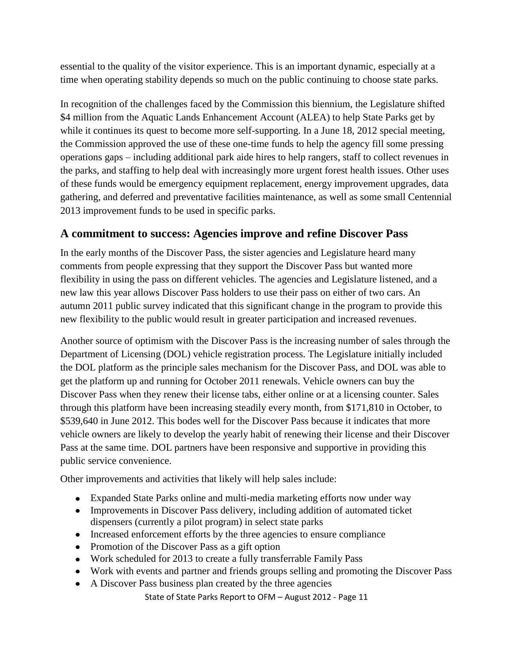essential to the quality of the visitor experience. This is an important dynamic, especially at a time when operating stability depends so much on the public continuing to choose state parks.

In recognition of the challenges faced by the Commission this biennium, the Legislature shifted \$4 million from the Aquatic Lands Enhancement Account (ALEA) to help State Parks get by while it continues its quest to become more self-supporting. In a June 18, 2012 special meeting, the Commission approved the use of these one-time funds to help the agency fill some pressing operations gaps – including additional park aide hires to help rangers, staff to collect revenues in the parks, and staffing to help deal with increasingly more urgent forest health issues. Other uses of these funds would be emergency equipment replacement, energy improvement upgrades, data gathering, and deferred and preventative facilities maintenance, as well as some small Centennial 2013 improvement funds to be used in specific parks.

## **A commitment to success: Agencies improve and refine Discover Pass**

In the early months of the Discover Pass, the sister agencies and Legislature heard many comments from people expressing that they support the Discover Pass but wanted more flexibility in using the pass on different vehicles. The agencies and Legislature listened, and a new law this year allows Discover Pass holders to use their pass on either of two cars. An autumn 2011 public survey indicated that this significant change in the program to provide this new flexibility to the public would result in greater participation and increased revenues.

Another source of optimism with the Discover Pass is the increasing number of sales through the Department of Licensing (DOL) vehicle registration process. The Legislature initially included the DOL platform as the principle sales mechanism for the Discover Pass, and DOL was able to get the platform up and running for October 2011 renewals. Vehicle owners can buy the Discover Pass when they renew their license tabs, either online or at a licensing counter. Sales through this platform have been increasing steadily every month, from \$171,810 in October, to \$539,640 in June 2012. This bodes well for the Discover Pass because it indicates that more vehicle owners are likely to develop the yearly habit of renewing their license and their Discover Pass at the same time. DOL partners have been responsive and supportive in providing this public service convenience.

Other improvements and activities that likely will help sales include:

- Expanded State Parks online and multi-media marketing efforts now under way
- Improvements in Discover Pass delivery, including addition of automated ticket dispensers (currently a pilot program) in select state parks
- Increased enforcement efforts by the three agencies to ensure compliance
- Promotion of the Discover Pass as a gift option
- Work scheduled for 2013 to create a fully transferrable Family Pass
- Work with events and partner and friends groups selling and promoting the Discover Pass
- A Discover Pass business plan created by the three agencies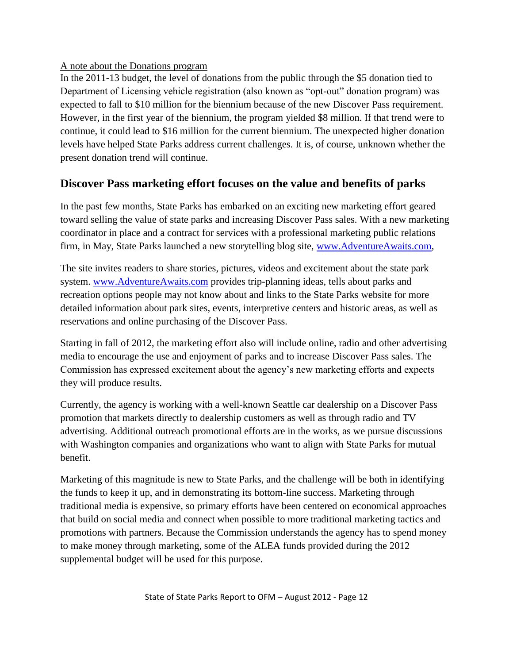#### A note about the Donations program

In the 2011-13 budget, the level of donations from the public through the \$5 donation tied to Department of Licensing vehicle registration (also known as "opt-out" donation program) was expected to fall to \$10 million for the biennium because of the new Discover Pass requirement. However, in the first year of the biennium, the program yielded \$8 million. If that trend were to continue, it could lead to \$16 million for the current biennium. The unexpected higher donation levels have helped State Parks address current challenges. It is, of course, unknown whether the present donation trend will continue.

## **Discover Pass marketing effort focuses on the value and benefits of parks**

In the past few months, State Parks has embarked on an exciting new marketing effort geared toward selling the value of state parks and increasing Discover Pass sales. With a new marketing coordinator in place and a contract for services with a professional marketing public relations firm, in May, State Parks launched a new storytelling blog site, [www.AdventureAwaits.com,](http://www.adventureawaits.com/)

The site invites readers to share stories, pictures, videos and excitement about the state park system. [www.AdventureAwaits.com](http://www.adventureawaits.com/) provides trip-planning ideas, tells about parks and recreation options people may not know about and links to the State Parks website for more detailed information about park sites, events, interpretive centers and historic areas, as well as reservations and online purchasing of the Discover Pass.

Starting in fall of 2012, the marketing effort also will include online, radio and other advertising media to encourage the use and enjoyment of parks and to increase Discover Pass sales. The Commission has expressed excitement about the agency's new marketing efforts and expects they will produce results.

Currently, the agency is working with a well-known Seattle car dealership on a Discover Pass promotion that markets directly to dealership customers as well as through radio and TV advertising. Additional outreach promotional efforts are in the works, as we pursue discussions with Washington companies and organizations who want to align with State Parks for mutual benefit.

Marketing of this magnitude is new to State Parks, and the challenge will be both in identifying the funds to keep it up, and in demonstrating its bottom-line success. Marketing through traditional media is expensive, so primary efforts have been centered on economical approaches that build on social media and connect when possible to more traditional marketing tactics and promotions with partners. Because the Commission understands the agency has to spend money to make money through marketing, some of the ALEA funds provided during the 2012 supplemental budget will be used for this purpose.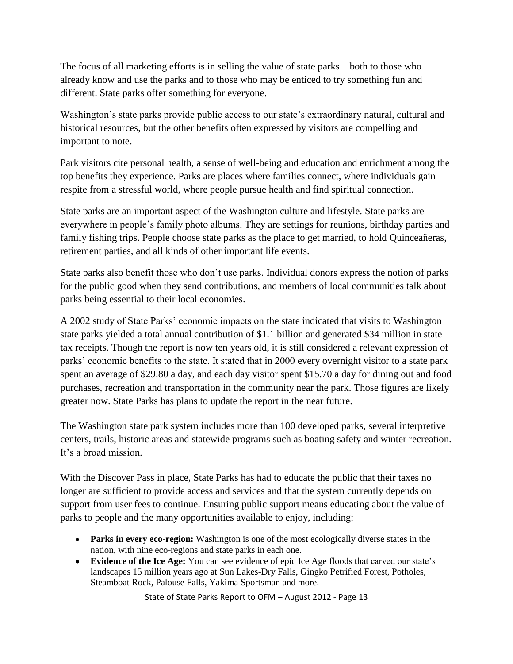The focus of all marketing efforts is in selling the value of state parks – both to those who already know and use the parks and to those who may be enticed to try something fun and different. State parks offer something for everyone.

Washington's state parks provide public access to our state's extraordinary natural, cultural and historical resources, but the other benefits often expressed by visitors are compelling and important to note.

Park visitors cite personal health, a sense of well-being and education and enrichment among the top benefits they experience. Parks are places where families connect, where individuals gain respite from a stressful world, where people pursue health and find spiritual connection.

State parks are an important aspect of the Washington culture and lifestyle. State parks are everywhere in people's family photo albums. They are settings for reunions, birthday parties and family fishing trips. People choose state parks as the place to get married, to hold Quinceañeras, retirement parties, and all kinds of other important life events.

State parks also benefit those who don't use parks. Individual donors express the notion of parks for the public good when they send contributions, and members of local communities talk about parks being essential to their local economies.

A 2002 study of State Parks' economic impacts on the state indicated that visits to Washington state parks yielded a total annual contribution of \$1.1 billion and generated \$34 million in state tax receipts. Though the report is now ten years old, it is still considered a relevant expression of parks' economic benefits to the state. It stated that in 2000 every overnight visitor to a state park spent an average of \$29.80 a day, and each day visitor spent \$15.70 a day for dining out and food purchases, recreation and transportation in the community near the park. Those figures are likely greater now. State Parks has plans to update the report in the near future.

The Washington state park system includes more than 100 developed parks, several interpretive centers, trails, historic areas and statewide programs such as boating safety and winter recreation. It's a broad mission.

With the Discover Pass in place, State Parks has had to educate the public that their taxes no longer are sufficient to provide access and services and that the system currently depends on support from user fees to continue. Ensuring public support means educating about the value of parks to people and the many opportunities available to enjoy, including:

- **Parks in every eco-region:** Washington is one of the most ecologically diverse states in the nation, with nine eco-regions and state parks in each one.
- **Evidence of the Ice Age:** You can see evidence of epic Ice Age floods that carved our state's landscapes 15 million years ago at Sun Lakes-Dry Falls, Gingko Petrified Forest, Potholes, Steamboat Rock, Palouse Falls, Yakima Sportsman and more.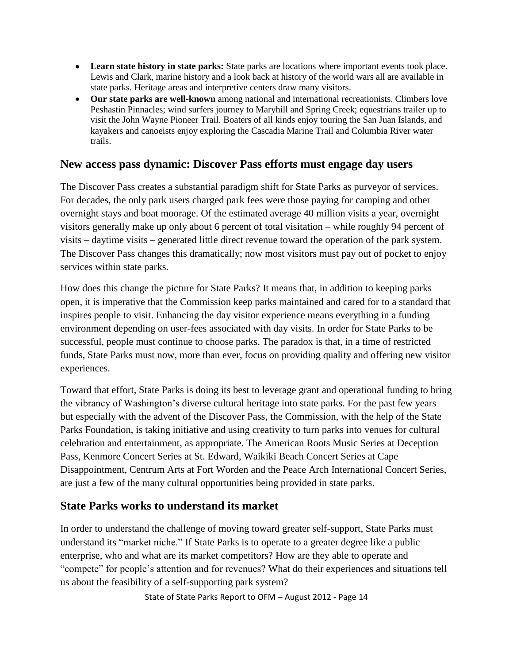- **Learn state history in state parks:** State parks are locations where important events took place. Lewis and Clark, marine history and a look back at history of the world wars all are available in state parks. Heritage areas and interpretive centers draw many visitors.
- **Our state parks are well-known** among national and international recreationists. Climbers love Peshastin Pinnacles; wind surfers journey to Maryhill and Spring Creek; equestrians trailer up to visit the John Wayne Pioneer Trail. Boaters of all kinds enjoy touring the San Juan Islands, and kayakers and canoeists enjoy exploring the Cascadia Marine Trail and Columbia River water trails.

### **New access pass dynamic: Discover Pass efforts must engage day users**

The Discover Pass creates a substantial paradigm shift for State Parks as purveyor of services. For decades, the only park users charged park fees were those paying for camping and other overnight stays and boat moorage. Of the estimated average 40 million visits a year, overnight visitors generally make up only about 6 percent of total visitation – while roughly 94 percent of visits – daytime visits – generated little direct revenue toward the operation of the park system. The Discover Pass changes this dramatically; now most visitors must pay out of pocket to enjoy services within state parks.

How does this change the picture for State Parks? It means that, in addition to keeping parks open, it is imperative that the Commission keep parks maintained and cared for to a standard that inspires people to visit. Enhancing the day visitor experience means everything in a funding environment depending on user-fees associated with day visits. In order for State Parks to be successful, people must continue to choose parks. The paradox is that, in a time of restricted funds, State Parks must now, more than ever, focus on providing quality and offering new visitor experiences.

Toward that effort, State Parks is doing its best to leverage grant and operational funding to bring the vibrancy of Washington's diverse cultural heritage into state parks. For the past few years – but especially with the advent of the Discover Pass, the Commission, with the help of the State Parks Foundation, is taking initiative and using creativity to turn parks into venues for cultural celebration and entertainment, as appropriate. The American Roots Music Series at Deception Pass, Kenmore Concert Series at St. Edward, Waikiki Beach Concert Series at Cape Disappointment, Centrum Arts at Fort Worden and the Peace Arch International Concert Series, are just a few of the many cultural opportunities being provided in state parks.

## **State Parks works to understand its market**

In order to understand the challenge of moving toward greater self-support, State Parks must understand its "market niche." If State Parks is to operate to a greater degree like a public enterprise, who and what are its market competitors? How are they able to operate and "compete" for people's attention and for revenues? What do their experiences and situations tell us about the feasibility of a self-supporting park system?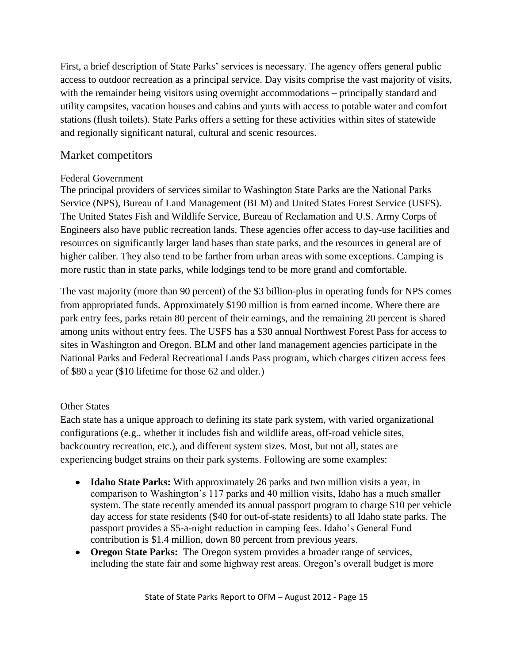First, a brief description of State Parks' services is necessary. The agency offers general public access to outdoor recreation as a principal service. Day visits comprise the vast majority of visits, with the remainder being visitors using overnight accommodations – principally standard and utility campsites, vacation houses and cabins and yurts with access to potable water and comfort stations (flush toilets). State Parks offers a setting for these activities within sites of statewide and regionally significant natural, cultural and scenic resources.

## Market competitors

### Federal Government

The principal providers of services similar to Washington State Parks are the National Parks Service (NPS), Bureau of Land Management (BLM) and United States Forest Service (USFS). The United States Fish and Wildlife Service, Bureau of Reclamation and U.S. Army Corps of Engineers also have public recreation lands. These agencies offer access to day-use facilities and resources on significantly larger land bases than state parks, and the resources in general are of higher caliber. They also tend to be farther from urban areas with some exceptions. Camping is more rustic than in state parks, while lodgings tend to be more grand and comfortable.

The vast majority (more than 90 percent) of the \$3 billion-plus in operating funds for NPS comes from appropriated funds. Approximately \$190 million is from earned income. Where there are park entry fees, parks retain 80 percent of their earnings, and the remaining 20 percent is shared among units without entry fees. The USFS has a \$30 annual Northwest Forest Pass for access to sites in Washington and Oregon. BLM and other land management agencies participate in the National Parks and Federal Recreational Lands Pass program, which charges citizen access fees of \$80 a year (\$10 lifetime for those 62 and older.)

### Other States

Each state has a unique approach to defining its state park system, with varied organizational configurations (e.g., whether it includes fish and wildlife areas, off-road vehicle sites, backcountry recreation, etc.), and different system sizes. Most, but not all, states are experiencing budget strains on their park systems. Following are some examples:

- **Idaho State Parks:** With approximately 26 parks and two million visits a year, in comparison to Washington's 117 parks and 40 million visits, Idaho has a much smaller system. The state recently amended its annual passport program to charge \$10 per vehicle day access for state residents (\$40 for out-of-state residents) to all Idaho state parks. The passport provides a \$5-a-night reduction in camping fees. Idaho's General Fund contribution is \$1.4 million, down 80 percent from previous years.
- **Oregon State Parks:** The Oregon system provides a broader range of services, including the state fair and some highway rest areas. Oregon's overall budget is more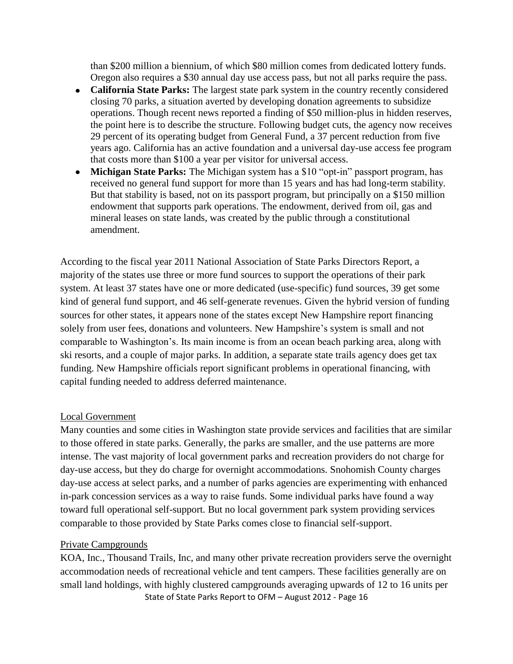than \$200 million a biennium, of which \$80 million comes from dedicated lottery funds. Oregon also requires a \$30 annual day use access pass, but not all parks require the pass.

- **California State Parks:** The largest state park system in the country recently considered closing 70 parks, a situation averted by developing donation agreements to subsidize operations. Though recent news reported a finding of \$50 million-plus in hidden reserves, the point here is to describe the structure. Following budget cuts, the agency now receives 29 percent of its operating budget from General Fund, a 37 percent reduction from five years ago. California has an active foundation and a universal day-use access fee program that costs more than \$100 a year per visitor for universal access.
- **Michigan State Parks:** The Michigan system has a \$10 "opt-in" passport program, has received no general fund support for more than 15 years and has had long-term stability. But that stability is based, not on its passport program, but principally on a \$150 million endowment that supports park operations. The endowment, derived from oil, gas and mineral leases on state lands, was created by the public through a constitutional amendment.

According to the fiscal year 2011 National Association of State Parks Directors Report, a majority of the states use three or more fund sources to support the operations of their park system. At least 37 states have one or more dedicated (use-specific) fund sources, 39 get some kind of general fund support, and 46 self-generate revenues. Given the hybrid version of funding sources for other states, it appears none of the states except New Hampshire report financing solely from user fees, donations and volunteers. New Hampshire's system is small and not comparable to Washington's. Its main income is from an ocean beach parking area, along with ski resorts, and a couple of major parks. In addition, a separate state trails agency does get tax funding. New Hampshire officials report significant problems in operational financing, with capital funding needed to address deferred maintenance.

#### Local Government

Many counties and some cities in Washington state provide services and facilities that are similar to those offered in state parks. Generally, the parks are smaller, and the use patterns are more intense. The vast majority of local government parks and recreation providers do not charge for day-use access, but they do charge for overnight accommodations. Snohomish County charges day-use access at select parks, and a number of parks agencies are experimenting with enhanced in-park concession services as a way to raise funds. Some individual parks have found a way toward full operational self-support. But no local government park system providing services comparable to those provided by State Parks comes close to financial self-support.

#### Private Campgrounds

State of State Parks Report to OFM – August 2012 - Page 16 KOA, Inc., Thousand Trails, Inc, and many other private recreation providers serve the overnight accommodation needs of recreational vehicle and tent campers. These facilities generally are on small land holdings, with highly clustered campgrounds averaging upwards of 12 to 16 units per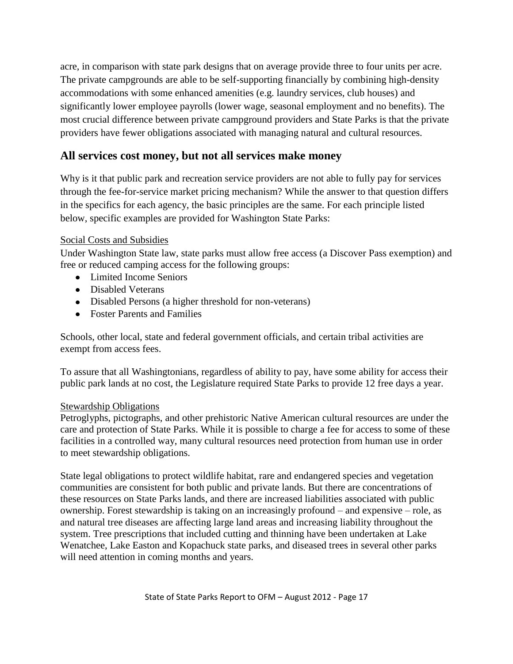acre, in comparison with state park designs that on average provide three to four units per acre. The private campgrounds are able to be self-supporting financially by combining high-density accommodations with some enhanced amenities (e.g. laundry services, club houses) and significantly lower employee payrolls (lower wage, seasonal employment and no benefits). The most crucial difference between private campground providers and State Parks is that the private providers have fewer obligations associated with managing natural and cultural resources.

## **All services cost money, but not all services make money**

Why is it that public park and recreation service providers are not able to fully pay for services through the fee-for-service market pricing mechanism? While the answer to that question differs in the specifics for each agency, the basic principles are the same. For each principle listed below, specific examples are provided for Washington State Parks:

### Social Costs and Subsidies

Under Washington State law, state parks must allow free access (a Discover Pass exemption) and free or reduced camping access for the following groups:

- Limited Income Seniors
- Disabled Veterans
- Disabled Persons (a higher threshold for non-veterans)
- Foster Parents and Families

Schools, other local, state and federal government officials, and certain tribal activities are exempt from access fees.

To assure that all Washingtonians, regardless of ability to pay, have some ability for access their public park lands at no cost, the Legislature required State Parks to provide 12 free days a year.

#### Stewardship Obligations

Petroglyphs, pictographs, and other prehistoric Native American cultural resources are under the care and protection of State Parks. While it is possible to charge a fee for access to some of these facilities in a controlled way, many cultural resources need protection from human use in order to meet stewardship obligations.

State legal obligations to protect wildlife habitat, rare and endangered species and vegetation communities are consistent for both public and private lands. But there are concentrations of these resources on State Parks lands, and there are increased liabilities associated with public ownership. Forest stewardship is taking on an increasingly profound – and expensive – role, as and natural tree diseases are affecting large land areas and increasing liability throughout the system. Tree prescriptions that included cutting and thinning have been undertaken at Lake Wenatchee, Lake Easton and Kopachuck state parks, and diseased trees in several other parks will need attention in coming months and years.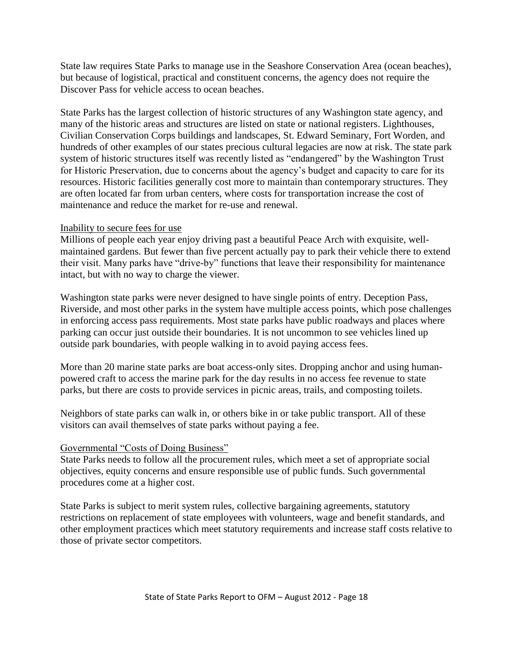State law requires State Parks to manage use in the Seashore Conservation Area (ocean beaches), but because of logistical, practical and constituent concerns, the agency does not require the Discover Pass for vehicle access to ocean beaches.

State Parks has the largest collection of historic structures of any Washington state agency, and many of the historic areas and structures are listed on state or national registers. Lighthouses, Civilian Conservation Corps buildings and landscapes, St. Edward Seminary, Fort Worden, and hundreds of other examples of our states precious cultural legacies are now at risk. The state park system of historic structures itself was recently listed as "endangered" by the Washington Trust for Historic Preservation, due to concerns about the agency's budget and capacity to care for its resources. Historic facilities generally cost more to maintain than contemporary structures. They are often located far from urban centers, where costs for transportation increase the cost of maintenance and reduce the market for re-use and renewal.

#### Inability to secure fees for use

Millions of people each year enjoy driving past a beautiful Peace Arch with exquisite, wellmaintained gardens. But fewer than five percent actually pay to park their vehicle there to extend their visit. Many parks have "drive-by" functions that leave their responsibility for maintenance intact, but with no way to charge the viewer.

Washington state parks were never designed to have single points of entry. Deception Pass, Riverside, and most other parks in the system have multiple access points, which pose challenges in enforcing access pass requirements. Most state parks have public roadways and places where parking can occur just outside their boundaries. It is not uncommon to see vehicles lined up outside park boundaries, with people walking in to avoid paying access fees.

More than 20 marine state parks are boat access-only sites. Dropping anchor and using humanpowered craft to access the marine park for the day results in no access fee revenue to state parks, but there are costs to provide services in picnic areas, trails, and composting toilets.

Neighbors of state parks can walk in, or others bike in or take public transport. All of these visitors can avail themselves of state parks without paying a fee.

#### Governmental "Costs of Doing Business"

State Parks needs to follow all the procurement rules, which meet a set of appropriate social objectives, equity concerns and ensure responsible use of public funds. Such governmental procedures come at a higher cost.

State Parks is subject to merit system rules, collective bargaining agreements, statutory restrictions on replacement of state employees with volunteers, wage and benefit standards, and other employment practices which meet statutory requirements and increase staff costs relative to those of private sector competitors.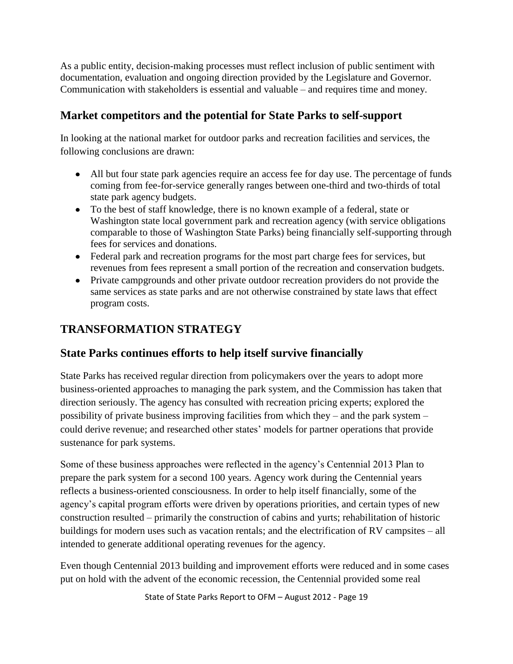As a public entity, decision-making processes must reflect inclusion of public sentiment with documentation, evaluation and ongoing direction provided by the Legislature and Governor. Communication with stakeholders is essential and valuable – and requires time and money.

## **Market competitors and the potential for State Parks to self-support**

In looking at the national market for outdoor parks and recreation facilities and services, the following conclusions are drawn:

- All but four state park agencies require an access fee for day use. The percentage of funds coming from fee-for-service generally ranges between one-third and two-thirds of total state park agency budgets.
- To the best of staff knowledge, there is no known example of a federal, state or Washington state local government park and recreation agency (with service obligations comparable to those of Washington State Parks) being financially self-supporting through fees for services and donations.
- Federal park and recreation programs for the most part charge fees for services, but revenues from fees represent a small portion of the recreation and conservation budgets.
- Private campgrounds and other private outdoor recreation providers do not provide the same services as state parks and are not otherwise constrained by state laws that effect program costs.

# **TRANSFORMATION STRATEGY**

## **State Parks continues efforts to help itself survive financially**

State Parks has received regular direction from policymakers over the years to adopt more business-oriented approaches to managing the park system, and the Commission has taken that direction seriously. The agency has consulted with recreation pricing experts; explored the possibility of private business improving facilities from which they – and the park system – could derive revenue; and researched other states' models for partner operations that provide sustenance for park systems.

Some of these business approaches were reflected in the agency's Centennial 2013 Plan to prepare the park system for a second 100 years. Agency work during the Centennial years reflects a business-oriented consciousness. In order to help itself financially, some of the agency's capital program efforts were driven by operations priorities, and certain types of new construction resulted – primarily the construction of cabins and yurts; rehabilitation of historic buildings for modern uses such as vacation rentals; and the electrification of RV campsites – all intended to generate additional operating revenues for the agency.

Even though Centennial 2013 building and improvement efforts were reduced and in some cases put on hold with the advent of the economic recession, the Centennial provided some real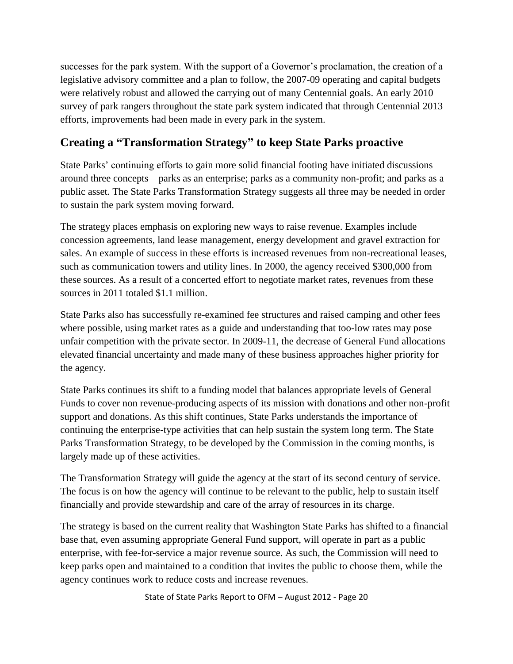successes for the park system. With the support of a Governor's proclamation, the creation of a legislative advisory committee and a plan to follow, the 2007-09 operating and capital budgets were relatively robust and allowed the carrying out of many Centennial goals. An early 2010 survey of park rangers throughout the state park system indicated that through Centennial 2013 efforts, improvements had been made in every park in the system.

## **Creating a "Transformation Strategy" to keep State Parks proactive**

State Parks' continuing efforts to gain more solid financial footing have initiated discussions around three concepts – parks as an enterprise; parks as a community non-profit; and parks as a public asset. The State Parks Transformation Strategy suggests all three may be needed in order to sustain the park system moving forward.

The strategy places emphasis on exploring new ways to raise revenue. Examples include concession agreements, land lease management, energy development and gravel extraction for sales. An example of success in these efforts is increased revenues from non-recreational leases, such as communication towers and utility lines. In 2000, the agency received \$300,000 from these sources. As a result of a concerted effort to negotiate market rates, revenues from these sources in 2011 totaled \$1.1 million.

State Parks also has successfully re-examined fee structures and raised camping and other fees where possible, using market rates as a guide and understanding that too-low rates may pose unfair competition with the private sector. In 2009-11, the decrease of General Fund allocations elevated financial uncertainty and made many of these business approaches higher priority for the agency.

State Parks continues its shift to a funding model that balances appropriate levels of General Funds to cover non revenue-producing aspects of its mission with donations and other non-profit support and donations. As this shift continues, State Parks understands the importance of continuing the enterprise-type activities that can help sustain the system long term. The State Parks Transformation Strategy, to be developed by the Commission in the coming months, is largely made up of these activities.

The Transformation Strategy will guide the agency at the start of its second century of service. The focus is on how the agency will continue to be relevant to the public, help to sustain itself financially and provide stewardship and care of the array of resources in its charge.

The strategy is based on the current reality that Washington State Parks has shifted to a financial base that, even assuming appropriate General Fund support, will operate in part as a public enterprise, with fee-for-service a major revenue source. As such, the Commission will need to keep parks open and maintained to a condition that invites the public to choose them, while the agency continues work to reduce costs and increase revenues.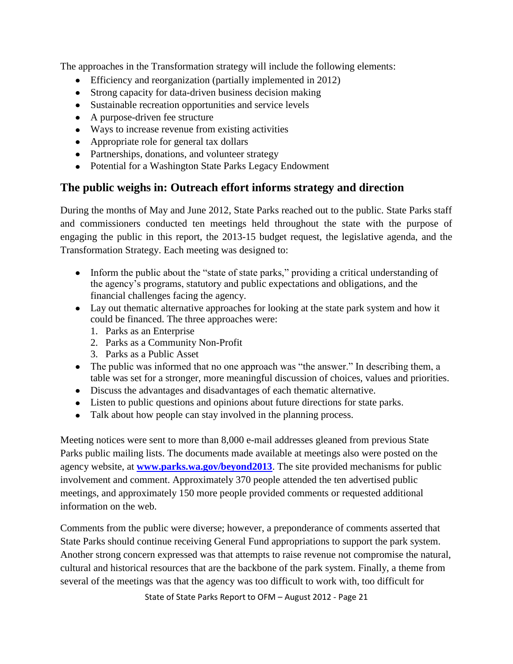The approaches in the Transformation strategy will include the following elements:

- Efficiency and reorganization (partially implemented in 2012)
- Strong capacity for data-driven business decision making
- Sustainable recreation opportunities and service levels
- A purpose-driven fee structure
- Ways to increase revenue from existing activities
- Appropriate role for general tax dollars
- Partnerships, donations, and volunteer strategy
- Potential for a Washington State Parks Legacy Endowment

## **The public weighs in: Outreach effort informs strategy and direction**

During the months of May and June 2012, State Parks reached out to the public. State Parks staff and commissioners conducted ten meetings held throughout the state with the purpose of engaging the public in this report, the 2013-15 budget request, the legislative agenda, and the Transformation Strategy. Each meeting was designed to:

- Inform the public about the "state of state parks," providing a critical understanding of the agency's programs, statutory and public expectations and obligations, and the financial challenges facing the agency.
- Lay out thematic alternative approaches for looking at the state park system and how it could be financed. The three approaches were:
	- 1. Parks as an Enterprise
	- 2. Parks as a Community Non-Profit
	- 3. Parks as a Public Asset
- The public was informed that no one approach was "the answer." In describing them, a table was set for a stronger, more meaningful discussion of choices, values and priorities.
- Discuss the advantages and disadvantages of each thematic alternative.
- Listen to public questions and opinions about future directions for state parks.
- Talk about how people can stay involved in the planning process.

Meeting notices were sent to more than 8,000 e-mail addresses gleaned from previous State Parks public mailing lists. The documents made available at meetings also were posted on the agency website, at **[www.parks.wa.gov/beyond2013](http://www.parks.wa.gov/beyond2013)**. The site provided mechanisms for public involvement and comment. Approximately 370 people attended the ten advertised public meetings, and approximately 150 more people provided comments or requested additional information on the web.

Comments from the public were diverse; however, a preponderance of comments asserted that State Parks should continue receiving General Fund appropriations to support the park system. Another strong concern expressed was that attempts to raise revenue not compromise the natural, cultural and historical resources that are the backbone of the park system. Finally, a theme from several of the meetings was that the agency was too difficult to work with, too difficult for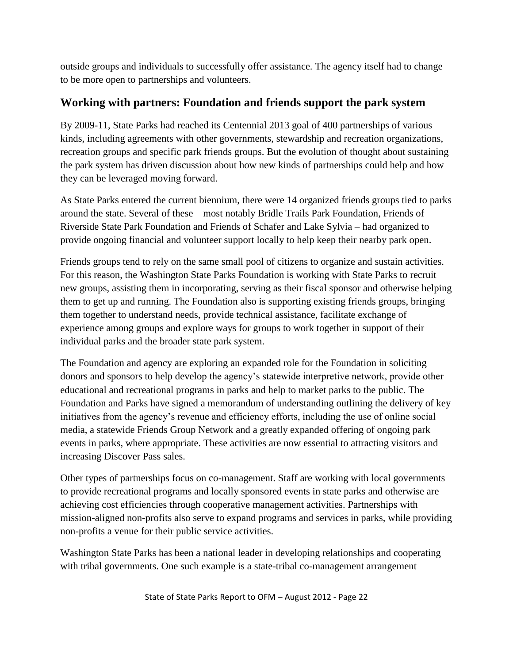outside groups and individuals to successfully offer assistance. The agency itself had to change to be more open to partnerships and volunteers.

## **Working with partners: Foundation and friends support the park system**

By 2009-11, State Parks had reached its Centennial 2013 goal of 400 partnerships of various kinds, including agreements with other governments, stewardship and recreation organizations, recreation groups and specific park friends groups. But the evolution of thought about sustaining the park system has driven discussion about how new kinds of partnerships could help and how they can be leveraged moving forward.

As State Parks entered the current biennium, there were 14 organized friends groups tied to parks around the state. Several of these – most notably Bridle Trails Park Foundation, Friends of Riverside State Park Foundation and Friends of Schafer and Lake Sylvia – had organized to provide ongoing financial and volunteer support locally to help keep their nearby park open.

Friends groups tend to rely on the same small pool of citizens to organize and sustain activities. For this reason, the Washington State Parks Foundation is working with State Parks to recruit new groups, assisting them in incorporating, serving as their fiscal sponsor and otherwise helping them to get up and running. The Foundation also is supporting existing friends groups, bringing them together to understand needs, provide technical assistance, facilitate exchange of experience among groups and explore ways for groups to work together in support of their individual parks and the broader state park system.

The Foundation and agency are exploring an expanded role for the Foundation in soliciting donors and sponsors to help develop the agency's statewide interpretive network, provide other educational and recreational programs in parks and help to market parks to the public. The Foundation and Parks have signed a memorandum of understanding outlining the delivery of key initiatives from the agency's revenue and efficiency efforts, including the use of online social media, a statewide Friends Group Network and a greatly expanded offering of ongoing park events in parks, where appropriate. These activities are now essential to attracting visitors and increasing Discover Pass sales.

Other types of partnerships focus on co-management. Staff are working with local governments to provide recreational programs and locally sponsored events in state parks and otherwise are achieving cost efficiencies through cooperative management activities. Partnerships with mission-aligned non-profits also serve to expand programs and services in parks, while providing non-profits a venue for their public service activities.

Washington State Parks has been a national leader in developing relationships and cooperating with tribal governments. One such example is a state-tribal co-management arrangement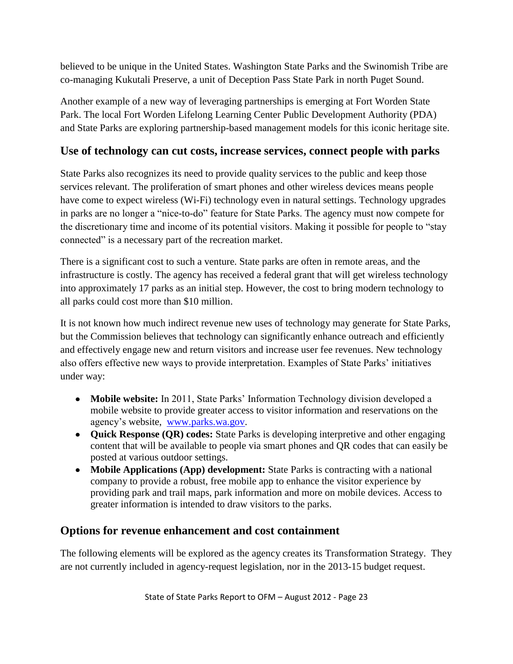believed to be unique in the United States. Washington State Parks and the Swinomish Tribe are co-managing Kukutali Preserve, a unit of Deception Pass State Park in north Puget Sound.

Another example of a new way of leveraging partnerships is emerging at Fort Worden State Park. The local Fort Worden Lifelong Learning Center Public Development Authority (PDA) and State Parks are exploring partnership-based management models for this iconic heritage site.

## **Use of technology can cut costs, increase services, connect people with parks**

State Parks also recognizes its need to provide quality services to the public and keep those services relevant. The proliferation of smart phones and other wireless devices means people have come to expect wireless (Wi-Fi) technology even in natural settings. Technology upgrades in parks are no longer a "nice-to-do" feature for State Parks. The agency must now compete for the discretionary time and income of its potential visitors. Making it possible for people to "stay connected" is a necessary part of the recreation market.

There is a significant cost to such a venture. State parks are often in remote areas, and the infrastructure is costly. The agency has received a federal grant that will get wireless technology into approximately 17 parks as an initial step. However, the cost to bring modern technology to all parks could cost more than \$10 million.

It is not known how much indirect revenue new uses of technology may generate for State Parks, but the Commission believes that technology can significantly enhance outreach and efficiently and effectively engage new and return visitors and increase user fee revenues. New technology also offers effective new ways to provide interpretation. Examples of State Parks' initiatives under way:

- **Mobile website:** In 2011, State Parks' Information Technology division developed a mobile website to provide greater access to visitor information and reservations on the agency's website, [www.parks.wa.gov.](http://www.parks.wa.gov/)
- **Quick Response (QR) codes:** State Parks is developing interpretive and other engaging content that will be available to people via smart phones and QR codes that can easily be posted at various outdoor settings.
- **Mobile Applications (App) development:** State Parks is contracting with a national company to provide a robust, free mobile app to enhance the visitor experience by providing park and trail maps, park information and more on mobile devices. Access to greater information is intended to draw visitors to the parks.

## **Options for revenue enhancement and cost containment**

The following elements will be explored as the agency creates its Transformation Strategy. They are not currently included in agency-request legislation, nor in the 2013-15 budget request.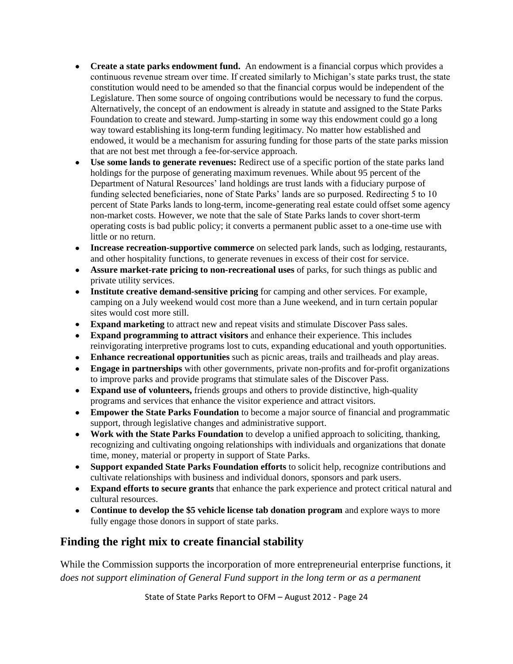- **Create a state parks endowment fund.** An endowment is a financial corpus which provides a continuous revenue stream over time. If created similarly to Michigan's state parks trust, the state constitution would need to be amended so that the financial corpus would be independent of the Legislature. Then some source of ongoing contributions would be necessary to fund the corpus. Alternatively, the concept of an endowment is already in statute and assigned to the State Parks Foundation to create and steward. Jump-starting in some way this endowment could go a long way toward establishing its long-term funding legitimacy. No matter how established and endowed, it would be a mechanism for assuring funding for those parts of the state parks mission that are not best met through a fee-for-service approach.
- **Use some lands to generate revenues:** Redirect use of a specific portion of the state parks land holdings for the purpose of generating maximum revenues. While about 95 percent of the Department of Natural Resources' land holdings are trust lands with a fiduciary purpose of funding selected beneficiaries, none of State Parks' lands are so purposed. Redirecting 5 to 10 percent of State Parks lands to long-term, income-generating real estate could offset some agency non-market costs. However, we note that the sale of State Parks lands to cover short-term operating costs is bad public policy; it converts a permanent public asset to a one-time use with little or no return.
- **Increase recreation-supportive commerce** on selected park lands, such as lodging, restaurants, and other hospitality functions, to generate revenues in excess of their cost for service.
- **Assure market-rate pricing to non-recreational uses** of parks, for such things as public and private utility services.
- **Institute creative demand-sensitive pricing** for camping and other services. For example, camping on a July weekend would cost more than a June weekend, and in turn certain popular sites would cost more still.
- **Expand marketing** to attract new and repeat visits and stimulate Discover Pass sales.
- **Expand programming to attract visitors** and enhance their experience. This includes reinvigorating interpretive programs lost to cuts, expanding educational and youth opportunities.
- **Enhance recreational opportunities** such as picnic areas, trails and trailheads and play areas.
- **Engage in partnerships** with other governments, private non-profits and for-profit organizations to improve parks and provide programs that stimulate sales of the Discover Pass.
- **Expand use of volunteers,** friends groups and others to provide distinctive, high-quality programs and services that enhance the visitor experience and attract visitors.
- **Empower the State Parks Foundation** to become a major source of financial and programmatic support, through legislative changes and administrative support.
- **Work with the State Parks Foundation** to develop a unified approach to soliciting, thanking, recognizing and cultivating ongoing relationships with individuals and organizations that donate time, money, material or property in support of State Parks.
- **Support expanded State Parks Foundation efforts** to solicit help, recognize contributions and cultivate relationships with business and individual donors, sponsors and park users.
- **Expand efforts to secure grants** that enhance the park experience and protect critical natural and cultural resources.
- Continue to develop the \$5 vehicle license tab donation program and explore ways to more fully engage those donors in support of state parks.

## **Finding the right mix to create financial stability**

While the Commission supports the incorporation of more entrepreneurial enterprise functions, it *does not support elimination of General Fund support in the long term or as a permanent*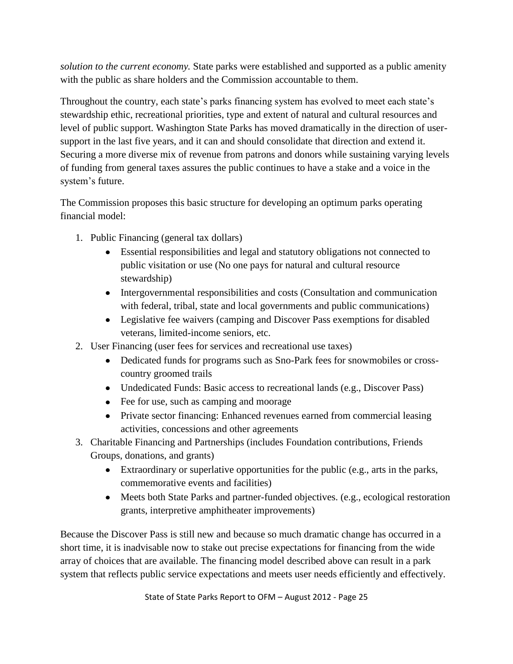*solution to the current economy.* State parks were established and supported as a public amenity with the public as share holders and the Commission accountable to them.

Throughout the country, each state's parks financing system has evolved to meet each state's stewardship ethic, recreational priorities, type and extent of natural and cultural resources and level of public support. Washington State Parks has moved dramatically in the direction of usersupport in the last five years, and it can and should consolidate that direction and extend it. Securing a more diverse mix of revenue from patrons and donors while sustaining varying levels of funding from general taxes assures the public continues to have a stake and a voice in the system's future.

The Commission proposes this basic structure for developing an optimum parks operating financial model:

- 1. Public Financing (general tax dollars)
	- Essential responsibilities and legal and statutory obligations not connected to public visitation or use (No one pays for natural and cultural resource stewardship)
	- Intergovernmental responsibilities and costs (Consultation and communication with federal, tribal, state and local governments and public communications)
	- Legislative fee waivers (camping and Discover Pass exemptions for disabled veterans, limited-income seniors, etc.
- 2. User Financing (user fees for services and recreational use taxes)
	- Dedicated funds for programs such as Sno-Park fees for snowmobiles or crosscountry groomed trails
	- Undedicated Funds: Basic access to recreational lands (e.g., Discover Pass)
	- Fee for use, such as camping and moorage
	- Private sector financing: Enhanced revenues earned from commercial leasing activities, concessions and other agreements
- 3. Charitable Financing and Partnerships (includes Foundation contributions, Friends Groups, donations, and grants)
	- Extraordinary or superlative opportunities for the public (e.g., arts in the parks, commemorative events and facilities)
	- Meets both State Parks and partner-funded objectives. (e.g., ecological restoration grants, interpretive amphitheater improvements)

Because the Discover Pass is still new and because so much dramatic change has occurred in a short time, it is inadvisable now to stake out precise expectations for financing from the wide array of choices that are available. The financing model described above can result in a park system that reflects public service expectations and meets user needs efficiently and effectively.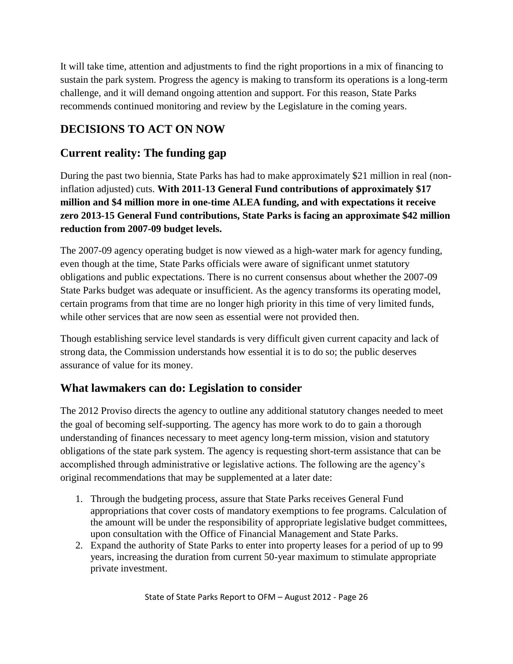It will take time, attention and adjustments to find the right proportions in a mix of financing to sustain the park system. Progress the agency is making to transform its operations is a long-term challenge, and it will demand ongoing attention and support. For this reason, State Parks recommends continued monitoring and review by the Legislature in the coming years.

# **DECISIONS TO ACT ON NOW**

## **Current reality: The funding gap**

During the past two biennia, State Parks has had to make approximately \$21 million in real (noninflation adjusted) cuts. **With 2011-13 General Fund contributions of approximately \$17 million and \$4 million more in one-time ALEA funding, and with expectations it receive zero 2013-15 General Fund contributions, State Parks is facing an approximate \$42 million reduction from 2007-09 budget levels.** 

The 2007-09 agency operating budget is now viewed as a high-water mark for agency funding, even though at the time, State Parks officials were aware of significant unmet statutory obligations and public expectations. There is no current consensus about whether the 2007-09 State Parks budget was adequate or insufficient. As the agency transforms its operating model, certain programs from that time are no longer high priority in this time of very limited funds, while other services that are now seen as essential were not provided then.

Though establishing service level standards is very difficult given current capacity and lack of strong data, the Commission understands how essential it is to do so; the public deserves assurance of value for its money.

# **What lawmakers can do: Legislation to consider**

The 2012 Proviso directs the agency to outline any additional statutory changes needed to meet the goal of becoming self-supporting. The agency has more work to do to gain a thorough understanding of finances necessary to meet agency long-term mission, vision and statutory obligations of the state park system. The agency is requesting short-term assistance that can be accomplished through administrative or legislative actions. The following are the agency's original recommendations that may be supplemented at a later date:

- 1. Through the budgeting process, assure that State Parks receives General Fund appropriations that cover costs of mandatory exemptions to fee programs. Calculation of the amount will be under the responsibility of appropriate legislative budget committees, upon consultation with the Office of Financial Management and State Parks.
- 2. Expand the authority of State Parks to enter into property leases for a period of up to 99 years, increasing the duration from current 50-year maximum to stimulate appropriate private investment.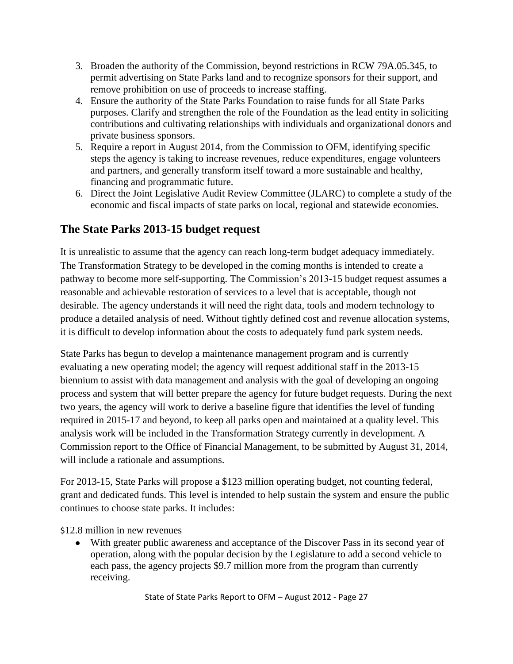- 3. Broaden the authority of the Commission, beyond restrictions in RCW 79A.05.345, to permit advertising on State Parks land and to recognize sponsors for their support, and remove prohibition on use of proceeds to increase staffing.
- 4. Ensure the authority of the State Parks Foundation to raise funds for all State Parks purposes. Clarify and strengthen the role of the Foundation as the lead entity in soliciting contributions and cultivating relationships with individuals and organizational donors and private business sponsors.
- 5. Require a report in August 2014, from the Commission to OFM, identifying specific steps the agency is taking to increase revenues, reduce expenditures, engage volunteers and partners, and generally transform itself toward a more sustainable and healthy, financing and programmatic future.
- 6. Direct the Joint Legislative Audit Review Committee (JLARC) to complete a study of the economic and fiscal impacts of state parks on local, regional and statewide economies.

## **The State Parks 2013-15 budget request**

It is unrealistic to assume that the agency can reach long-term budget adequacy immediately. The Transformation Strategy to be developed in the coming months is intended to create a pathway to become more self-supporting. The Commission's 2013-15 budget request assumes a reasonable and achievable restoration of services to a level that is acceptable, though not desirable. The agency understands it will need the right data, tools and modern technology to produce a detailed analysis of need. Without tightly defined cost and revenue allocation systems, it is difficult to develop information about the costs to adequately fund park system needs.

State Parks has begun to develop a maintenance management program and is currently evaluating a new operating model; the agency will request additional staff in the 2013-15 biennium to assist with data management and analysis with the goal of developing an ongoing process and system that will better prepare the agency for future budget requests. During the next two years, the agency will work to derive a baseline figure that identifies the level of funding required in 2015-17 and beyond, to keep all parks open and maintained at a quality level. This analysis work will be included in the Transformation Strategy currently in development. A Commission report to the Office of Financial Management, to be submitted by August 31, 2014, will include a rationale and assumptions.

For 2013-15, State Parks will propose a \$123 million operating budget, not counting federal, grant and dedicated funds. This level is intended to help sustain the system and ensure the public continues to choose state parks. It includes:

\$12.8 million in new revenues

With greater public awareness and acceptance of the Discover Pass in its second year of operation, along with the popular decision by the Legislature to add a second vehicle to each pass, the agency projects \$9.7 million more from the program than currently receiving.